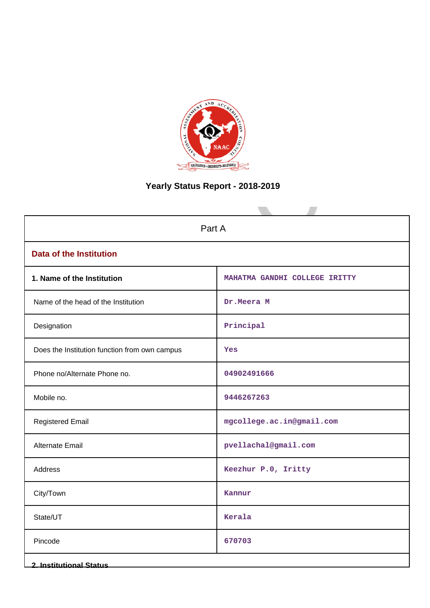

# **Yearly Status Report - 2018-2019**

| Part A                                        |                               |  |
|-----------------------------------------------|-------------------------------|--|
| <b>Data of the Institution</b>                |                               |  |
| 1. Name of the Institution                    | MAHATMA GANDHI COLLEGE IRITTY |  |
| Name of the head of the Institution           | Dr.Meera M                    |  |
| Designation                                   | Principal                     |  |
| Does the Institution function from own campus | Yes                           |  |
| Phone no/Alternate Phone no.                  | 04902491666                   |  |
| Mobile no.                                    | 9446267263                    |  |
| <b>Registered Email</b>                       | mgcollege.ac.in@gmail.com     |  |
| Alternate Email                               | pvellachal@gmail.com          |  |
| Address                                       | Keezhur P.O, Iritty           |  |
| City/Town                                     | Kannur                        |  |
| State/UT                                      | Kerala                        |  |
| Pincode                                       | 670703                        |  |
| <b>2. Institutional Status</b>                |                               |  |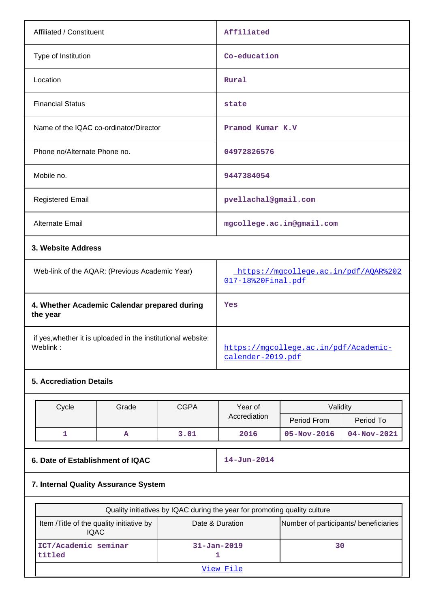| Affiliated / Constituent                       | Affiliated                                                 |  |
|------------------------------------------------|------------------------------------------------------------|--|
| Type of Institution                            | Co-education                                               |  |
| Location                                       | Rural                                                      |  |
| <b>Financial Status</b>                        | state                                                      |  |
| Name of the IQAC co-ordinator/Director         | Pramod Kumar K.V                                           |  |
| Phone no/Alternate Phone no.                   | 04972826576                                                |  |
| Mobile no.                                     | 9447384054                                                 |  |
| <b>Registered Email</b>                        | pvellachal@gmail.com                                       |  |
| <b>Alternate Email</b>                         | mgcollege.ac.in@gmail.com                                  |  |
| 3. Website Address                             |                                                            |  |
| Web-link of the AQAR: (Previous Academic Year) | https://mgcollege.ac.in/pdf/AQAR%202<br>017-18%20Final.pdf |  |
| 4. Whether Academic Calendar prepared during   | Yes                                                        |  |

**the year** if yes,whether it is uploaded in the institutional website: [https://mgcollege.ac.in/pdf/Academic-](https://mgcollege.ac.in/pdf/Academic-calender-2019.pdf)

# **5. Accrediation Details**

| Cycle | Grade | <b>CGPA</b> | Year of      | Validity          |                   |
|-------|-------|-------------|--------------|-------------------|-------------------|
|       |       |             | Accrediation | Period From       | Period To         |
|       | A     | 3.01        | 2016         | $05 - Nov - 2016$ | $04 - Nov - 2021$ |

[calender-2019.pdf](https://mgcollege.ac.in/pdf/Academic-calender-2019.pdf)

| 6. Date of Establishment of IQAC | <b>14-Jun-2014</b> |
|----------------------------------|--------------------|
|                                  |                    |

# **7. Internal Quality Assurance System**

| Quality initiatives by IQAC during the year for promoting quality culture |                                       |    |  |
|---------------------------------------------------------------------------|---------------------------------------|----|--|
| Item / Title of the quality initiative by<br><b>IQAC</b>                  | Number of participants/ beneficiaries |    |  |
| ICT/Academic seminar<br>titled                                            | $31 - Jan - 2019$                     | 30 |  |
| View File                                                                 |                                       |    |  |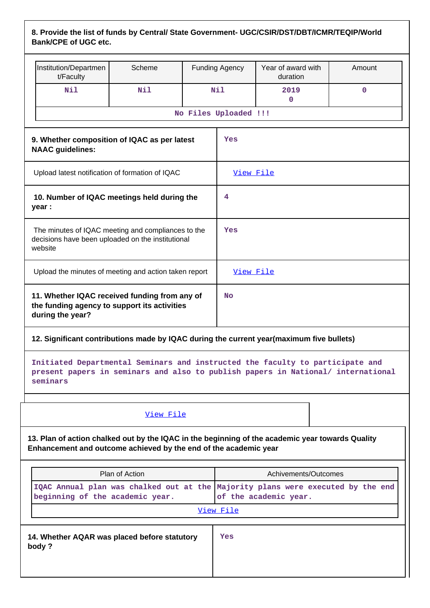# **8. Provide the list of funds by Central/ State Government- UGC/CSIR/DST/DBT/ICMR/TEQIP/World Bank/CPE of UGC etc.**

|                                                                                                                                                                               | Institution/Departmen<br>t/Faculty                    | Scheme    |                       | <b>Funding Agency</b> | Year of award with<br>duration | Amount |
|-------------------------------------------------------------------------------------------------------------------------------------------------------------------------------|-------------------------------------------------------|-----------|-----------------------|-----------------------|--------------------------------|--------|
|                                                                                                                                                                               | Nil                                                   | Nil       |                       | Nil                   | 2019<br>0                      | 0      |
|                                                                                                                                                                               |                                                       |           | No Files Uploaded !!! |                       |                                |        |
| 9. Whether composition of IQAC as per latest<br><b>NAAC</b> guidelines:                                                                                                       |                                                       | Yes       |                       |                       |                                |        |
| Upload latest notification of formation of IQAC                                                                                                                               |                                                       |           | View File             |                       |                                |        |
| 10. Number of IQAC meetings held during the<br>year :                                                                                                                         |                                                       | 4         |                       |                       |                                |        |
| The minutes of IQAC meeting and compliances to the<br>decisions have been uploaded on the institutional<br>website                                                            |                                                       | Yes       |                       |                       |                                |        |
|                                                                                                                                                                               | Upload the minutes of meeting and action taken report |           |                       | View File             |                                |        |
| 11. Whether IQAC received funding from any of<br>the funding agency to support its activities<br>during the year?                                                             |                                                       | <b>No</b> |                       |                       |                                |        |
| 12. Significant contributions made by IQAC during the current year(maximum five bullets)                                                                                      |                                                       |           |                       |                       |                                |        |
| Initiated Departmental Seminars and instructed the faculty to participate and<br>present papers in seminars and also to publish papers in National/ international<br>seminars |                                                       |           |                       |                       |                                |        |
|                                                                                                                                                                               |                                                       |           |                       |                       |                                |        |

[View File](https://assessmentonline.naac.gov.in/public/Postacc/Contribution/13560_Contribution.xls)

**13. Plan of action chalked out by the IQAC in the beginning of the academic year towards Quality Enhancement and outcome achieved by the end of the academic year**

| Plan of Action                                        | Achivements/Outcomes                                                                                     |  |
|-------------------------------------------------------|----------------------------------------------------------------------------------------------------------|--|
| beginning of the academic year.                       | IQAC Annual plan was chalked out at the Majority plans were executed by the end<br>of the academic year. |  |
| View File                                             |                                                                                                          |  |
| 14. Whether AQAR was placed before statutory<br>body? | Yes                                                                                                      |  |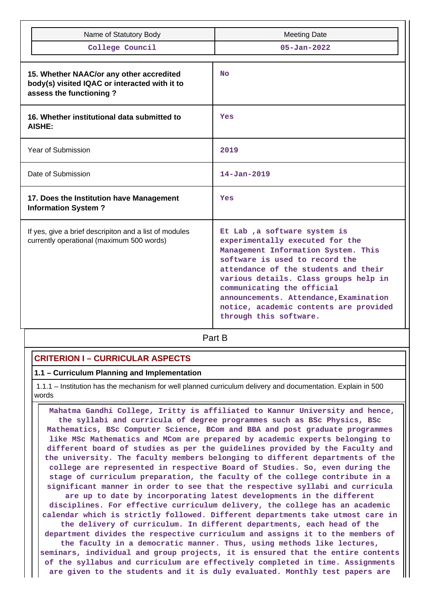|                                                                                                     | Name of Statutory Body                                                                                               | <b>Meeting Date</b>                                                                                                                                                                                                                                                                                                                                                   |  |  |
|-----------------------------------------------------------------------------------------------------|----------------------------------------------------------------------------------------------------------------------|-----------------------------------------------------------------------------------------------------------------------------------------------------------------------------------------------------------------------------------------------------------------------------------------------------------------------------------------------------------------------|--|--|
|                                                                                                     | College Council                                                                                                      | $05 - Jan - 2022$                                                                                                                                                                                                                                                                                                                                                     |  |  |
|                                                                                                     | 15. Whether NAAC/or any other accredited<br>body(s) visited IQAC or interacted with it to<br>assess the functioning? | <b>No</b>                                                                                                                                                                                                                                                                                                                                                             |  |  |
|                                                                                                     | 16. Whether institutional data submitted to<br>AISHE:                                                                | Yes                                                                                                                                                                                                                                                                                                                                                                   |  |  |
|                                                                                                     | <b>Year of Submission</b>                                                                                            | 2019                                                                                                                                                                                                                                                                                                                                                                  |  |  |
| Date of Submission                                                                                  |                                                                                                                      | $14 - Jan - 2019$                                                                                                                                                                                                                                                                                                                                                     |  |  |
|                                                                                                     | 17. Does the Institution have Management<br><b>Information System?</b>                                               | Yes                                                                                                                                                                                                                                                                                                                                                                   |  |  |
| If yes, give a brief descripiton and a list of modules<br>currently operational (maximum 500 words) |                                                                                                                      | Et Lab, a software system is<br>experimentally executed for the<br>Management Information System. This<br>software is used to record the<br>attendance of the students and their<br>various details. Class groups help in<br>communicating the official<br>announcements. Attendance, Examination<br>notice, academic contents are provided<br>through this software. |  |  |

**Part B** 

### **CRITERION I – CURRICULAR ASPECTS**

#### **1.1 – Curriculum Planning and Implementation**

 1.1.1 – Institution has the mechanism for well planned curriculum delivery and documentation. Explain in 500 words

 **Mahatma Gandhi College, Iritty is affiliated to Kannur University and hence, the syllabi and curricula of degree programmes such as BSc Physics, BSc Mathematics, BSc Computer Science, BCom and BBA and post graduate programmes like MSc Mathematics and MCom are prepared by academic experts belonging to different board of studies as per the guidelines provided by the Faculty and the university. The faculty members belonging to different departments of the college are represented in respective Board of Studies. So, even during the stage of curriculum preparation, the faculty of the college contribute in a significant manner in order to see that the respective syllabi and curricula are up to date by incorporating latest developments in the different disciplines. For effective curriculum delivery, the college has an academic calendar which is strictly followed. Different departments take utmost care in the delivery of curriculum. In different departments, each head of the department divides the respective curriculum and assigns it to the members of the faculty in a democratic manner. Thus, using methods like lectures, seminars, individual and group projects, it is ensured that the entire contents of the syllabus and curriculum are effectively completed in time. Assignments are given to the students and it is duly evaluated. Monthly test papers are**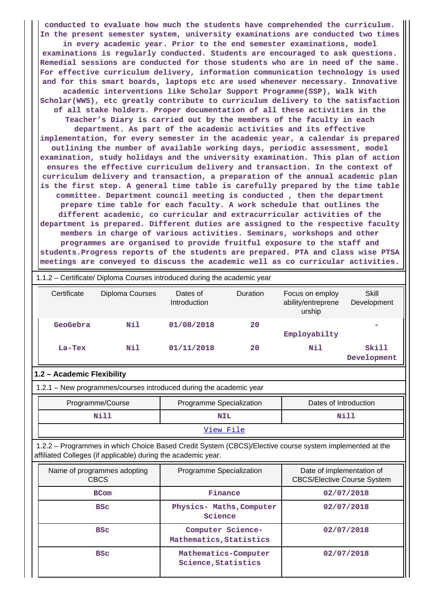**conducted to evaluate how much the students have comprehended the curriculum. In the present semester system, university examinations are conducted two times in every academic year. Prior to the end semester examinations, model examinations is regularly conducted. Students are encouraged to ask questions. Remedial sessions are conducted for those students who are in need of the same. For effective curriculum delivery, information communication technology is used and for this smart boards, laptops etc are used whenever necessary. Innovative academic interventions like Scholar Support Programme(SSP), Walk With Scholar(WWS), etc greatly contribute to curriculum delivery to the satisfaction of all stake holders. Proper documentation of all these activities in the Teacher's Diary is carried out by the members of the faculty in each department. As part of the academic activities and its effective implementation, for every semester in the academic year, a calendar is prepared outlining the number of available working days, periodic assessment, model examination, study holidays and the university examination. This plan of action ensures the effective curriculum delivery and transaction. In the context of curriculum delivery and transaction, a preparation of the annual academic plan is the first step. A general time table is carefully prepared by the time table committee. Department council meeting is conducted , then the department prepare time table for each faculty. A work schedule that outlines the different academic, co curricular and extracurricular activities of the department is prepared. Different duties are assigned to the respective faculty members in charge of various activities. Seminars, workshops and other programmes are organised to provide fruitful exposure to the staff and students.Progress reports of the students are prepared. PTA and class wise PTSA meetings are conveyed to discuss the academic well as co curricular activities.**

| 1.1.2 – Certificate/ Diploma Courses introduced during the academic year |                 |                          |                 |                                                 |                             |
|--------------------------------------------------------------------------|-----------------|--------------------------|-----------------|-------------------------------------------------|-----------------------------|
| Certificate                                                              | Diploma Courses | Dates of<br>Introduction | <b>Duration</b> | Focus on employ<br>ability/entreprene<br>urship | Skill<br>Development        |
| GeoGebra                                                                 | Nil             | 01/08/2018               | 20              | Employabilty                                    |                             |
| $La-Tex$                                                                 | Nil             | 01/11/2018               | 20              | Nil                                             | <b>Skill</b><br>Development |

### **1.2 – Academic Flexibility**

1.2.1 – New programmes/courses introduced during the academic year

| Programme/Course   | Programme Specialization | Dates of Introduction |  |
|--------------------|--------------------------|-----------------------|--|
| Nill<br><b>NIL</b> |                          | Nill                  |  |
| View File          |                          |                       |  |

 1.2.2 – Programmes in which Choice Based Credit System (CBCS)/Elective course system implemented at the affiliated Colleges (if applicable) during the academic year.

| Name of programmes adopting<br><b>CBCS</b> | Programme Specialization                     | Date of implementation of<br><b>CBCS/Elective Course System</b> |
|--------------------------------------------|----------------------------------------------|-----------------------------------------------------------------|
| <b>BCom</b>                                | Finance                                      | 02/07/2018                                                      |
| <b>BSC</b>                                 | Physics- Maths, Computer<br>Science          | 02/07/2018                                                      |
| <b>BSC</b>                                 | Computer Science-<br>Mathematics, Statistics | 02/07/2018                                                      |
| <b>BSC</b>                                 | Mathematics-Computer<br>Science, Statistics  | 02/07/2018                                                      |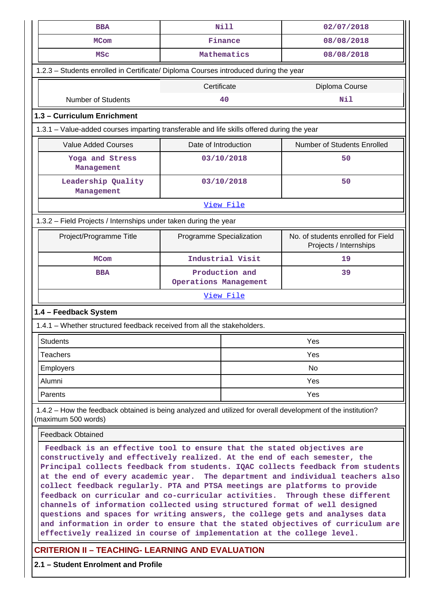| <b>BBA</b>                                                                                                                                                                                                                                                                                                                                                                                                                                                                                                                                                                                                                                                                                                                                                                                                           | <b>Nill</b>                                                                                |                  | 02/07/2018                                                   |  |  |
|----------------------------------------------------------------------------------------------------------------------------------------------------------------------------------------------------------------------------------------------------------------------------------------------------------------------------------------------------------------------------------------------------------------------------------------------------------------------------------------------------------------------------------------------------------------------------------------------------------------------------------------------------------------------------------------------------------------------------------------------------------------------------------------------------------------------|--------------------------------------------------------------------------------------------|------------------|--------------------------------------------------------------|--|--|
| <b>MCom</b>                                                                                                                                                                                                                                                                                                                                                                                                                                                                                                                                                                                                                                                                                                                                                                                                          | Finance                                                                                    |                  | 08/08/2018                                                   |  |  |
| <b>MSC</b>                                                                                                                                                                                                                                                                                                                                                                                                                                                                                                                                                                                                                                                                                                                                                                                                           | Mathematics                                                                                |                  | 08/08/2018                                                   |  |  |
| 1.2.3 - Students enrolled in Certificate/ Diploma Courses introduced during the year                                                                                                                                                                                                                                                                                                                                                                                                                                                                                                                                                                                                                                                                                                                                 |                                                                                            |                  |                                                              |  |  |
|                                                                                                                                                                                                                                                                                                                                                                                                                                                                                                                                                                                                                                                                                                                                                                                                                      | Certificate                                                                                |                  | Diploma Course                                               |  |  |
| <b>Number of Students</b>                                                                                                                                                                                                                                                                                                                                                                                                                                                                                                                                                                                                                                                                                                                                                                                            |                                                                                            | 40               | Nil                                                          |  |  |
| 1.3 - Curriculum Enrichment                                                                                                                                                                                                                                                                                                                                                                                                                                                                                                                                                                                                                                                                                                                                                                                          |                                                                                            |                  |                                                              |  |  |
|                                                                                                                                                                                                                                                                                                                                                                                                                                                                                                                                                                                                                                                                                                                                                                                                                      | 1.3.1 – Value-added courses imparting transferable and life skills offered during the year |                  |                                                              |  |  |
| <b>Value Added Courses</b>                                                                                                                                                                                                                                                                                                                                                                                                                                                                                                                                                                                                                                                                                                                                                                                           | Date of Introduction                                                                       |                  | Number of Students Enrolled                                  |  |  |
| Yoga and Stress<br>Management                                                                                                                                                                                                                                                                                                                                                                                                                                                                                                                                                                                                                                                                                                                                                                                        |                                                                                            | 03/10/2018       | 50                                                           |  |  |
| Leadership Quality<br>Management                                                                                                                                                                                                                                                                                                                                                                                                                                                                                                                                                                                                                                                                                                                                                                                     |                                                                                            | 03/10/2018       | 50                                                           |  |  |
|                                                                                                                                                                                                                                                                                                                                                                                                                                                                                                                                                                                                                                                                                                                                                                                                                      |                                                                                            | View File        |                                                              |  |  |
| 1.3.2 - Field Projects / Internships under taken during the year                                                                                                                                                                                                                                                                                                                                                                                                                                                                                                                                                                                                                                                                                                                                                     |                                                                                            |                  |                                                              |  |  |
| Project/Programme Title                                                                                                                                                                                                                                                                                                                                                                                                                                                                                                                                                                                                                                                                                                                                                                                              | Programme Specialization                                                                   |                  | No. of students enrolled for Field<br>Projects / Internships |  |  |
| <b>MCom</b>                                                                                                                                                                                                                                                                                                                                                                                                                                                                                                                                                                                                                                                                                                                                                                                                          |                                                                                            | Industrial Visit | 19                                                           |  |  |
| <b>BBA</b>                                                                                                                                                                                                                                                                                                                                                                                                                                                                                                                                                                                                                                                                                                                                                                                                           | Production and<br>Operations Management                                                    |                  | 39                                                           |  |  |
| View File                                                                                                                                                                                                                                                                                                                                                                                                                                                                                                                                                                                                                                                                                                                                                                                                            |                                                                                            |                  |                                                              |  |  |
| 1.4 - Feedback System                                                                                                                                                                                                                                                                                                                                                                                                                                                                                                                                                                                                                                                                                                                                                                                                |                                                                                            |                  |                                                              |  |  |
| 1.4.1 - Whether structured feedback received from all the stakeholders.                                                                                                                                                                                                                                                                                                                                                                                                                                                                                                                                                                                                                                                                                                                                              |                                                                                            |                  |                                                              |  |  |
| Students                                                                                                                                                                                                                                                                                                                                                                                                                                                                                                                                                                                                                                                                                                                                                                                                             |                                                                                            |                  | Yes                                                          |  |  |
| <b>Teachers</b>                                                                                                                                                                                                                                                                                                                                                                                                                                                                                                                                                                                                                                                                                                                                                                                                      |                                                                                            |                  | Yes                                                          |  |  |
| <b>Employers</b>                                                                                                                                                                                                                                                                                                                                                                                                                                                                                                                                                                                                                                                                                                                                                                                                     |                                                                                            |                  | No                                                           |  |  |
| Alumni                                                                                                                                                                                                                                                                                                                                                                                                                                                                                                                                                                                                                                                                                                                                                                                                               |                                                                                            |                  | Yes                                                          |  |  |
| Parents                                                                                                                                                                                                                                                                                                                                                                                                                                                                                                                                                                                                                                                                                                                                                                                                              |                                                                                            |                  | Yes                                                          |  |  |
| 1.4.2 – How the feedback obtained is being analyzed and utilized for overall development of the institution?<br>(maximum 500 words)                                                                                                                                                                                                                                                                                                                                                                                                                                                                                                                                                                                                                                                                                  |                                                                                            |                  |                                                              |  |  |
| <b>Feedback Obtained</b>                                                                                                                                                                                                                                                                                                                                                                                                                                                                                                                                                                                                                                                                                                                                                                                             |                                                                                            |                  |                                                              |  |  |
| Feedback is an effective tool to ensure that the stated objectives are<br>constructively and effectively realized. At the end of each semester, the<br>Principal collects feedback from students. IQAC collects feedback from students<br>at the end of every academic year. The department and individual teachers also<br>collect feedback regularly. PTA and PTSA meetings are platforms to provide<br>feedback on curricular and co-curricular activities.<br>Through these different<br>channels of information collected using structured format of well designed<br>questions and spaces for writing answers, the college gets and analyses data<br>and information in order to ensure that the stated objectives of curriculum are<br>effectively realized in course of implementation at the college level. |                                                                                            |                  |                                                              |  |  |
| <b>CRITERION II - TEACHING- LEARNING AND EVALUATION</b>                                                                                                                                                                                                                                                                                                                                                                                                                                                                                                                                                                                                                                                                                                                                                              |                                                                                            |                  |                                                              |  |  |

**2.1 – Student Enrolment and Profile**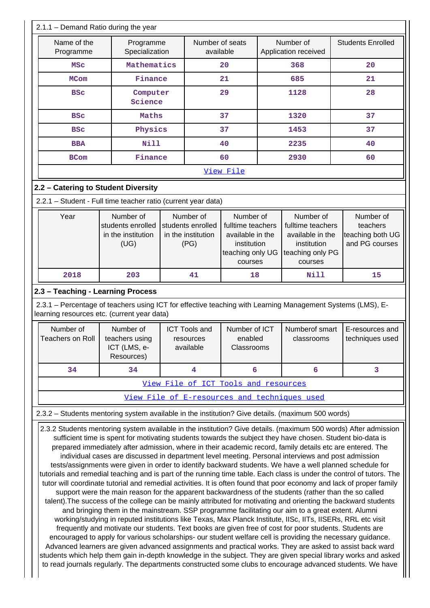| Name of the                                                                                                                                                                                                                                                                                                                                                                                                       |                                                                                                   |                                              |                              |  |                                   |                                                                                                                 |  |  |  |  |  |
|-------------------------------------------------------------------------------------------------------------------------------------------------------------------------------------------------------------------------------------------------------------------------------------------------------------------------------------------------------------------------------------------------------------------|---------------------------------------------------------------------------------------------------|----------------------------------------------|------------------------------|--|-----------------------------------|-----------------------------------------------------------------------------------------------------------------|--|--|--|--|--|
| Programme                                                                                                                                                                                                                                                                                                                                                                                                         | Programme<br>Specialization                                                                       |                                              | Number of seats<br>available |  | Number of<br>Application received | <b>Students Enrolled</b>                                                                                        |  |  |  |  |  |
| MSC                                                                                                                                                                                                                                                                                                                                                                                                               | Mathematics                                                                                       |                                              | 20                           |  | 368                               | 20                                                                                                              |  |  |  |  |  |
| <b>MCom</b>                                                                                                                                                                                                                                                                                                                                                                                                       | Finance                                                                                           |                                              | 21                           |  | 685                               | 21                                                                                                              |  |  |  |  |  |
| <b>BSC</b>                                                                                                                                                                                                                                                                                                                                                                                                        | Computer<br>Science                                                                               |                                              | 29                           |  | 1128                              | 28                                                                                                              |  |  |  |  |  |
| <b>BSC</b>                                                                                                                                                                                                                                                                                                                                                                                                        | Maths                                                                                             |                                              | 37                           |  | 1320                              | 37                                                                                                              |  |  |  |  |  |
| <b>BSC</b>                                                                                                                                                                                                                                                                                                                                                                                                        | Physics                                                                                           |                                              | 37                           |  | 1453                              | 37                                                                                                              |  |  |  |  |  |
| <b>BBA</b>                                                                                                                                                                                                                                                                                                                                                                                                        | <b>Nill</b>                                                                                       |                                              | 40                           |  | 2235                              | 40                                                                                                              |  |  |  |  |  |
| <b>BCom</b>                                                                                                                                                                                                                                                                                                                                                                                                       | Finance                                                                                           |                                              | 60                           |  | 2930                              | 60                                                                                                              |  |  |  |  |  |
|                                                                                                                                                                                                                                                                                                                                                                                                                   |                                                                                                   |                                              | View File                    |  |                                   |                                                                                                                 |  |  |  |  |  |
| 2.2 - Catering to Student Diversity                                                                                                                                                                                                                                                                                                                                                                               |                                                                                                   |                                              |                              |  |                                   |                                                                                                                 |  |  |  |  |  |
|                                                                                                                                                                                                                                                                                                                                                                                                                   | 2.2.1 - Student - Full time teacher ratio (current year data)                                     |                                              |                              |  |                                   |                                                                                                                 |  |  |  |  |  |
| Number of<br>Year<br>Number of<br>Number of<br>Number of<br>Number of<br>students enrolled<br>students enrolled<br>fulltime teachers<br>fulltime teachers<br>teachers<br>in the institution<br>teaching both UG<br>in the institution<br>available in the<br>available in the<br>and PG courses<br>(UG)<br>(PG)<br>institution<br>institution<br>teaching only UG<br>teaching only PG<br>courses<br>courses<br>18 |                                                                                                   |                                              |                              |  |                                   |                                                                                                                 |  |  |  |  |  |
| 2018                                                                                                                                                                                                                                                                                                                                                                                                              | 203                                                                                               | 41                                           |                              |  | Nill                              | 15                                                                                                              |  |  |  |  |  |
| 2.3 - Teaching - Learning Process                                                                                                                                                                                                                                                                                                                                                                                 |                                                                                                   |                                              |                              |  |                                   |                                                                                                                 |  |  |  |  |  |
| learning resources etc. (current year data)<br>Number of<br>Number of ICT<br>Numberof smart<br>Number of<br><b>ICT Tools and</b><br>E-resources and<br>Teachers on Roll<br>teachers using<br>enabled<br>techniques used<br>classrooms<br>resources<br>Classrooms                                                                                                                                                  |                                                                                                   |                                              |                              |  |                                   |                                                                                                                 |  |  |  |  |  |
|                                                                                                                                                                                                                                                                                                                                                                                                                   | ICT (LMS, e-                                                                                      | available                                    |                              |  |                                   |                                                                                                                 |  |  |  |  |  |
|                                                                                                                                                                                                                                                                                                                                                                                                                   | Resources)                                                                                        |                                              |                              |  |                                   |                                                                                                                 |  |  |  |  |  |
| 34                                                                                                                                                                                                                                                                                                                                                                                                                | 34                                                                                                | 4                                            | 6                            |  | 6                                 | 3                                                                                                               |  |  |  |  |  |
|                                                                                                                                                                                                                                                                                                                                                                                                                   |                                                                                                   | View File of ICT Tools and resources         |                              |  |                                   |                                                                                                                 |  |  |  |  |  |
|                                                                                                                                                                                                                                                                                                                                                                                                                   |                                                                                                   | View File of E-resources and techniques used |                              |  |                                   |                                                                                                                 |  |  |  |  |  |
|                                                                                                                                                                                                                                                                                                                                                                                                                   | 2.3.2 - Students mentoring system available in the institution? Give details. (maximum 500 words) |                                              |                              |  |                                   | 2.3.2 Students mentoring system available in the institution? Give details. (maximum 500 words) After admission |  |  |  |  |  |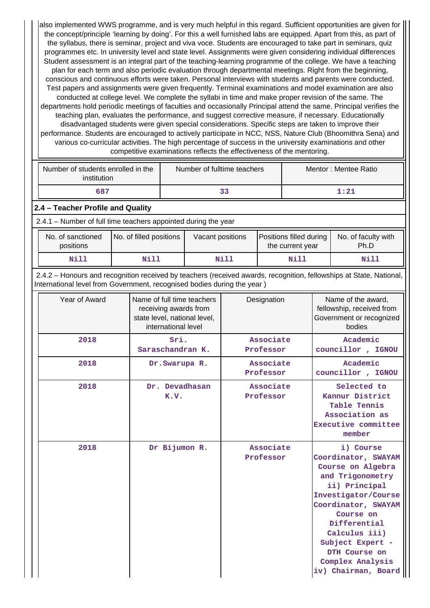also implemented WWS programme, and is very much helpful in this regard. Sufficient opportunities are given for the concept/principle 'learning by doing'. For this a well furnished labs are equipped. Apart from this, as part of the syllabus, there is seminar, project and viva voce. Students are encouraged to take part in seminars, quiz programmes etc. In university level and state level. Assignments were given considering individual differences Student assessment is an integral part of the teaching-learning programme of the college. We have a teaching plan for each term and also periodic evaluation through departmental meetings. Right from the beginning, conscious and continuous efforts were taken. Personal interviews with students and parents were conducted. Test papers and assignments were given frequently. Terminal examinations and model examination are also conducted at college level. We complete the syllabi in time and make proper revision of the same. The departments hold periodic meetings of faculties and occasionally Principal attend the same. Principal verifies the teaching plan, evaluates the performance, and suggest corrective measure, if necessary. Educationally disadvantaged students were given special considerations. Specific steps are taken to improve their performance. Students are encouraged to actively participate in NCC, NSS, Nature Club (Bhoomithra Sena) and various co-curricular activities. The high percentage of success in the university examinations and other competitive examinations reflects the effectiveness of the mentoring.

| Number of students enrolled in the<br>institution                                                                                                                                              |                         | Number of fulltime teachers              |                                                                                     |                        |                        |                                             | Mentor: Mentee Ratio          |                                                                                                                                                                                                                                                                        |  |
|------------------------------------------------------------------------------------------------------------------------------------------------------------------------------------------------|-------------------------|------------------------------------------|-------------------------------------------------------------------------------------|------------------------|------------------------|---------------------------------------------|-------------------------------|------------------------------------------------------------------------------------------------------------------------------------------------------------------------------------------------------------------------------------------------------------------------|--|
| 687                                                                                                                                                                                            |                         |                                          |                                                                                     | 33                     |                        |                                             |                               | 1:21                                                                                                                                                                                                                                                                   |  |
| 2.4 - Teacher Profile and Quality                                                                                                                                                              |                         |                                          |                                                                                     |                        |                        |                                             |                               |                                                                                                                                                                                                                                                                        |  |
| 2.4.1 - Number of full time teachers appointed during the year                                                                                                                                 |                         |                                          |                                                                                     |                        |                        |                                             |                               |                                                                                                                                                                                                                                                                        |  |
| No. of sanctioned<br>positions                                                                                                                                                                 | No. of filled positions | Vacant positions                         |                                                                                     |                        |                        | Positions filled during<br>the current year |                               | No. of faculty with<br>Ph.D                                                                                                                                                                                                                                            |  |
| Nill                                                                                                                                                                                           | <b>Nill</b>             |                                          |                                                                                     | Nill                   |                        | <b>Nill</b>                                 |                               | Nill                                                                                                                                                                                                                                                                   |  |
| 2.4.2 - Honours and recognition received by teachers (received awards, recognition, fellowships at State, National,<br>International level from Government, recognised bodies during the year) |                         |                                          |                                                                                     |                        |                        |                                             |                               |                                                                                                                                                                                                                                                                        |  |
| Year of Award                                                                                                                                                                                  |                         | international level                      | Name of full time teachers<br>receiving awards from<br>state level, national level, |                        | Designation            |                                             |                               | Name of the award,<br>fellowship, received from<br>Government or recognized<br>bodies                                                                                                                                                                                  |  |
| 2018                                                                                                                                                                                           |                         | Sri.<br>Saraschandran K.                 |                                                                                     | Associate<br>Professor |                        | Academic<br>councillor, IGNOU               |                               |                                                                                                                                                                                                                                                                        |  |
| 2018                                                                                                                                                                                           |                         | Dr. Swarupa R.<br>Dr. Devadhasan<br>K.V. |                                                                                     | Associate<br>Professor |                        |                                             | Academic<br>councillor, IGNOU |                                                                                                                                                                                                                                                                        |  |
| 2018                                                                                                                                                                                           |                         |                                          |                                                                                     |                        | Associate<br>Professor |                                             |                               | Selected to<br>Kannur District<br>Table Tennis<br>Association as<br>Executive committee<br>member                                                                                                                                                                      |  |
| 2018                                                                                                                                                                                           |                         | Dr Bijumon R.                            |                                                                                     |                        | Associate<br>Professor |                                             |                               | i) Course<br>Coordinator, SWAYAM<br>Course on Algebra<br>and Trigonometry<br>ii) Principal<br>Investigator/Course<br>Coordinator, SWAYAM<br>Course on<br>Differential<br>Calculus iii)<br>Subject Expert -<br>DTH Course on<br>Complex Analysis<br>iv) Chairman, Board |  |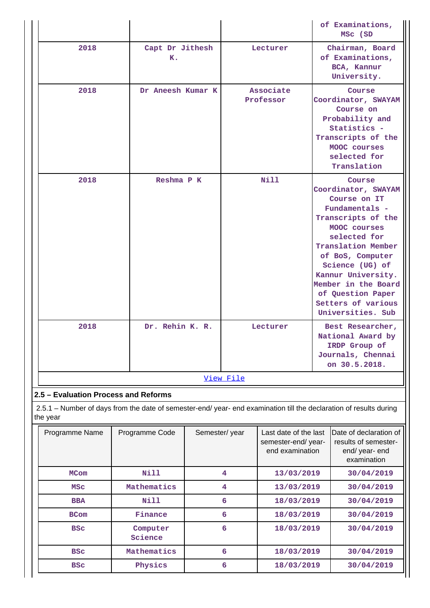|                                                                                                                                |                       |               |                         |                                                                |            | of Examinations,<br>MSC (SD                                                                                                                                                                                                                                                                     |
|--------------------------------------------------------------------------------------------------------------------------------|-----------------------|---------------|-------------------------|----------------------------------------------------------------|------------|-------------------------------------------------------------------------------------------------------------------------------------------------------------------------------------------------------------------------------------------------------------------------------------------------|
| 2018                                                                                                                           | Capt Dr Jithesh<br>к. |               |                         | Lecturer                                                       |            | Chairman, Board<br>of Examinations,<br>BCA, Kannur<br>University.                                                                                                                                                                                                                               |
| 2018                                                                                                                           | Dr Aneesh Kumar K     |               |                         | Associate<br>Professor                                         |            | Course<br>Coordinator, SWAYAM<br>Course on<br>Probability and<br>Statistics -<br>Transcripts of the<br>MOOC courses<br>selected for<br>Translation                                                                                                                                              |
| 2018                                                                                                                           | Reshma P K            |               |                         | Nill                                                           |            | Course<br>Coordinator, SWAYAM<br>Course on IT<br>Fundamentals -<br>Transcripts of the<br>MOOC courses<br>selected for<br>Translation Member<br>of BoS, Computer<br>Science (UG) of<br>Kannur University.<br>Member in the Board<br>of Question Paper<br>Setters of various<br>Universities. Sub |
| 2018                                                                                                                           | Dr. Rehin K. R.       |               |                         | Lecturer                                                       |            | Best Researcher,<br>National Award by<br>IRDP Group of<br>Journals, Chennai<br>on 30.5.2018.                                                                                                                                                                                                    |
|                                                                                                                                |                       |               | View File               |                                                                |            |                                                                                                                                                                                                                                                                                                 |
| 2.5 - Evaluation Process and Reforms                                                                                           |                       |               |                         |                                                                |            |                                                                                                                                                                                                                                                                                                 |
| 2.5.1 – Number of days from the date of semester-end/ year- end examination till the declaration of results during<br>the year |                       |               |                         |                                                                |            |                                                                                                                                                                                                                                                                                                 |
| Programme Name                                                                                                                 | Programme Code        | Semester/year |                         | Last date of the last<br>semester-end/year-<br>end examination |            | Date of declaration of<br>results of semester-<br>end/ year- end<br>examination                                                                                                                                                                                                                 |
| <b>MCom</b>                                                                                                                    | <b>Nill</b>           |               | $\overline{\mathbf{4}}$ | 13/03/2019                                                     |            | 30/04/2019                                                                                                                                                                                                                                                                                      |
| <b>MSC</b>                                                                                                                     | Mathematics           |               | 4                       | 13/03/2019                                                     |            | 30/04/2019                                                                                                                                                                                                                                                                                      |
| <b>BBA</b>                                                                                                                     | <b>Nill</b>           |               | 6                       | 18/03/2019                                                     |            | 30/04/2019                                                                                                                                                                                                                                                                                      |
| <b>BCom</b>                                                                                                                    | Finance               |               | 6                       | 18/03/2019                                                     |            | 30/04/2019                                                                                                                                                                                                                                                                                      |
| <b>BSC</b>                                                                                                                     | Computer<br>Science   |               | 6                       | 18/03/2019                                                     | 30/04/2019 |                                                                                                                                                                                                                                                                                                 |
| <b>BSC</b>                                                                                                                     | Mathematics           |               | 6                       | 18/03/2019                                                     |            | 30/04/2019                                                                                                                                                                                                                                                                                      |
| <b>BSC</b>                                                                                                                     | Physics               |               | 6                       | 18/03/2019                                                     |            | 30/04/2019                                                                                                                                                                                                                                                                                      |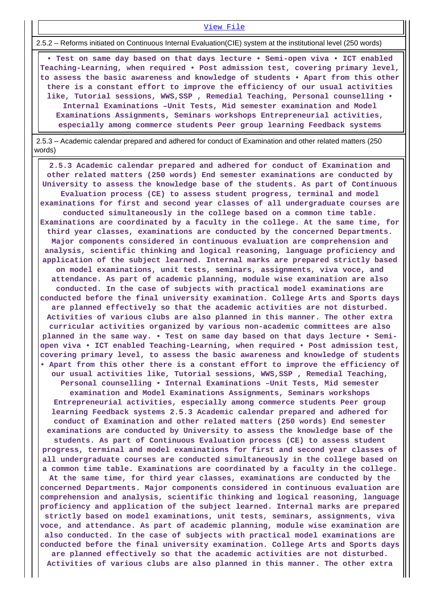#### [View File](https://assessmentonline.naac.gov.in/public/Postacc/Evaluation/13560_Evaluation_1642697510.xlsx)

2.5.2 – Reforms initiated on Continuous Internal Evaluation(CIE) system at the institutional level (250 words)

 **• Test on same day based on that days lecture • Semi-open viva • ICT enabled Teaching-Learning, when required • Post admission test, covering primary level, to assess the basic awareness and knowledge of students • Apart from this other there is a constant effort to improve the efficiency of our usual activities like, Tutorial sessions, WWS,SSP , Remedial Teaching, Personal counselling • Internal Examinations –Unit Tests, Mid semester examination and Model Examinations Assignments, Seminars workshops Entrepreneurial activities, especially among commerce students Peer group learning Feedback systems**

 2.5.3 – Academic calendar prepared and adhered for conduct of Examination and other related matters (250 words)

 **2.5.3 Academic calendar prepared and adhered for conduct of Examination and other related matters (250 words) End semester examinations are conducted by University to assess the knowledge base of the students. As part of Continuous Evaluation process (CE) to assess student progress, terminal and model examinations for first and second year classes of all undergraduate courses are conducted simultaneously in the college based on a common time table. Examinations are coordinated by a faculty in the college. At the same time, for third year classes, examinations are conducted by the concerned Departments. Major components considered in continuous evaluation are comprehension and analysis, scientific thinking and logical reasoning, language proficiency and application of the subject learned. Internal marks are prepared strictly based on model examinations, unit tests, seminars, assignments, viva voce, and attendance. As part of academic planning, module wise examination are also conducted. In the case of subjects with practical model examinations are conducted before the final university examination. College Arts and Sports days are planned effectively so that the academic activities are not disturbed. Activities of various clubs are also planned in this manner. The other extra curricular activities organized by various non-academic committees are also planned in the same way. • Test on same day based on that days lecture • Semiopen viva • ICT enabled Teaching-Learning, when required • Post admission test, covering primary level, to assess the basic awareness and knowledge of students • Apart from this other there is a constant effort to improve the efficiency of our usual activities like, Tutorial sessions, WWS,SSP , Remedial Teaching, Personal counselling • Internal Examinations –Unit Tests, Mid semester examination and Model Examinations Assignments, Seminars workshops Entrepreneurial activities, especially among commerce students Peer group learning Feedback systems 2.5.3 Academic calendar prepared and adhered for conduct of Examination and other related matters (250 words) End semester examinations are conducted by University to assess the knowledge base of the students. As part of Continuous Evaluation process (CE) to assess student progress, terminal and model examinations for first and second year classes of all undergraduate courses are conducted simultaneously in the college based on a common time table. Examinations are coordinated by a faculty in the college. At the same time, for third year classes, examinations are conducted by the concerned Departments. Major components considered in continuous evaluation are comprehension and analysis, scientific thinking and logical reasoning, language proficiency and application of the subject learned. Internal marks are prepared strictly based on model examinations, unit tests, seminars, assignments, viva voce, and attendance. As part of academic planning, module wise examination are also conducted. In the case of subjects with practical model examinations are conducted before the final university examination. College Arts and Sports days are planned effectively so that the academic activities are not disturbed. Activities of various clubs are also planned in this manner. The other extra**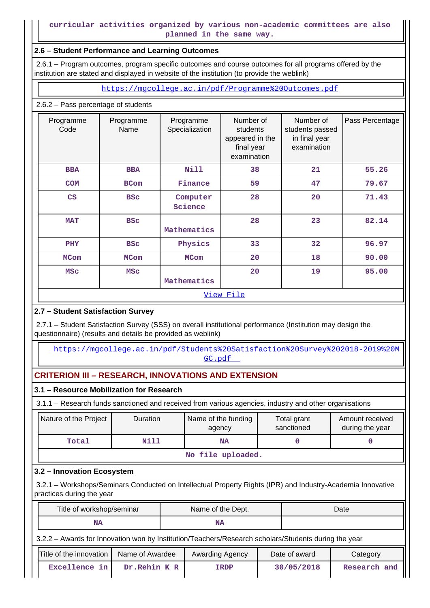## **curricular activities organized by various non-academic committees are also planned in the same way.**

### **2.6 – Student Performance and Learning Outcomes**

 2.6.1 – Program outcomes, program specific outcomes and course outcomes for all programs offered by the institution are stated and displayed in website of the institution (to provide the weblink)

<https://mgcollege.ac.in/pdf/Programme%20Outcomes.pdf>

### 2.6.2 – Pass percentage of students

| Programme<br>Code | Programme<br>Name | Programme<br>Specialization | Number of<br>students<br>appeared in the<br>final year<br>examination | Number of<br>students passed<br>in final year<br>examination | Pass Percentage |
|-------------------|-------------------|-----------------------------|-----------------------------------------------------------------------|--------------------------------------------------------------|-----------------|
| <b>BBA</b>        | <b>BBA</b>        | <b>Nill</b>                 | 38                                                                    | 21                                                           | 55.26           |
| <b>COM</b>        | <b>BCom</b>       | Finance                     | 59                                                                    | 47                                                           | 79.67           |
| $\mathbf{CS}$     | <b>BSC</b>        | Computer<br>Science         | 28                                                                    | 20                                                           | 71.43           |
| <b>MAT</b>        | <b>BSC</b>        | Mathematics                 | 28                                                                    | 23                                                           | 82.14           |
| <b>PHY</b>        | <b>BSC</b>        | Physics                     | 33                                                                    | 32                                                           | 96.97           |
| <b>MCom</b>       | <b>MCom</b>       | <b>MCom</b>                 | 20                                                                    | 18                                                           | 90.00           |
| <b>MSC</b>        | <b>MSC</b>        | Mathematics                 | 20                                                                    | 19                                                           | 95.00           |
|                   |                   |                             | View File                                                             |                                                              |                 |

# **2.7 – Student Satisfaction Survey**

 2.7.1 – Student Satisfaction Survey (SSS) on overall institutional performance (Institution may design the questionnaire) (results and details be provided as weblink)

 [https://mgcollege.ac.in/pdf/Students%20Satisfaction%20Survey%202018-2019%20M](https://mgcollege.ac.in/pdf/Students%20Satisfaction%20Survey%202018-2019%20MGC.pdf) [GC.pdf](https://mgcollege.ac.in/pdf/Students%20Satisfaction%20Survey%202018-2019%20MGC.pdf) 

# **CRITERION III – RESEARCH, INNOVATIONS AND EXTENSION**

### **3.1 – Resource Mobilization for Research**

3.1.1 – Research funds sanctioned and received from various agencies, industry and other organisations

| Nature of the Project | <b>Duration</b>   | Name of the funding<br>agency | Total grant<br>sanctioned | Amount received<br>during the year |  |  |  |  |  |
|-----------------------|-------------------|-------------------------------|---------------------------|------------------------------------|--|--|--|--|--|
| Total                 | Nill              | ΝA                            |                           |                                    |  |  |  |  |  |
|                       | No file uploaded. |                               |                           |                                    |  |  |  |  |  |

# **3.2 – Innovation Ecosystem**

 3.2.1 – Workshops/Seminars Conducted on Intellectual Property Rights (IPR) and Industry-Academia Innovative practices during the year

|                                                                                                      | Title of workshop/seminar |                 |                 | Name of the Dept. |  | Date          |              |  |  |
|------------------------------------------------------------------------------------------------------|---------------------------|-----------------|-----------------|-------------------|--|---------------|--------------|--|--|
|                                                                                                      | <b>NA</b>                 |                 |                 | <b>NA</b>         |  |               |              |  |  |
| 3.2.2 - Awards for Innovation won by Institution/Teachers/Research scholars/Students during the year |                           |                 |                 |                   |  |               |              |  |  |
|                                                                                                      | Title of the innovation   | Name of Awardee | Awarding Agency |                   |  | Date of award | Category     |  |  |
|                                                                                                      | Excellence in             | Dr. Rehin K R   | <b>IRDP</b>     |                   |  | 30/05/2018    | Research and |  |  |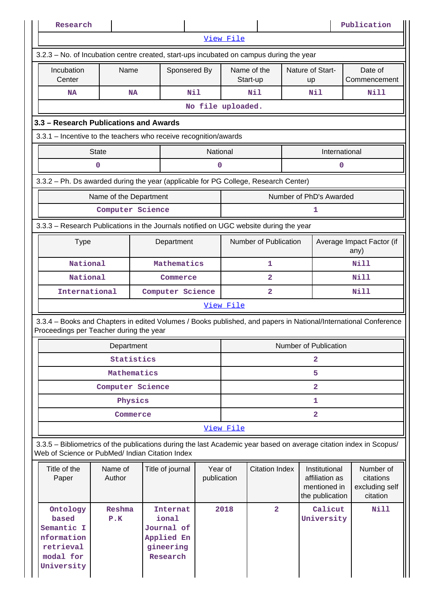| Research                                                                                                                                                              |                        |             |                                                                               |                        |                         |                         |  |                                                                    | Publication                                          |  |  |
|-----------------------------------------------------------------------------------------------------------------------------------------------------------------------|------------------------|-------------|-------------------------------------------------------------------------------|------------------------|-------------------------|-------------------------|--|--------------------------------------------------------------------|------------------------------------------------------|--|--|
|                                                                                                                                                                       |                        |             |                                                                               |                        | View File               |                         |  |                                                                    |                                                      |  |  |
| 3.2.3 – No. of Incubation centre created, start-ups incubated on campus during the year                                                                               |                        |             |                                                                               |                        |                         |                         |  |                                                                    |                                                      |  |  |
| Incubation<br>Center                                                                                                                                                  | Name                   |             | Sponsered By                                                                  |                        |                         | Name of the<br>Start-up |  | Nature of Start-<br><b>up</b>                                      | Date of<br>Commencement                              |  |  |
| NA                                                                                                                                                                    |                        | <b>NA</b>   | Nil                                                                           |                        |                         | N11                     |  | Nil                                                                | Nill                                                 |  |  |
|                                                                                                                                                                       |                        |             |                                                                               | No file uploaded.      |                         |                         |  |                                                                    |                                                      |  |  |
| 3.3 - Research Publications and Awards                                                                                                                                |                        |             |                                                                               |                        |                         |                         |  |                                                                    |                                                      |  |  |
| 3.3.1 - Incentive to the teachers who receive recognition/awards                                                                                                      |                        |             |                                                                               |                        |                         |                         |  |                                                                    |                                                      |  |  |
|                                                                                                                                                                       | <b>State</b>           |             |                                                                               | National               |                         |                         |  | International                                                      |                                                      |  |  |
|                                                                                                                                                                       | 0                      |             |                                                                               | 0                      |                         |                         |  | $\mathbf 0$                                                        |                                                      |  |  |
| 3.3.2 - Ph. Ds awarded during the year (applicable for PG College, Research Center)                                                                                   |                        |             |                                                                               |                        |                         |                         |  |                                                                    |                                                      |  |  |
|                                                                                                                                                                       | Name of the Department |             |                                                                               |                        |                         |                         |  | Number of PhD's Awarded                                            |                                                      |  |  |
|                                                                                                                                                                       | Computer Science       |             |                                                                               |                        |                         |                         |  | 1                                                                  |                                                      |  |  |
| 3.3.3 - Research Publications in the Journals notified on UGC website during the year                                                                                 |                        |             |                                                                               |                        |                         |                         |  |                                                                    |                                                      |  |  |
| <b>Type</b>                                                                                                                                                           |                        |             | Department                                                                    |                        |                         | Number of Publication   |  |                                                                    | Average Impact Factor (if                            |  |  |
|                                                                                                                                                                       |                        |             |                                                                               |                        |                         |                         |  |                                                                    | any)                                                 |  |  |
| National                                                                                                                                                              |                        |             | Mathematics                                                                   |                        | 1                       |                         |  |                                                                    | Nill                                                 |  |  |
| National                                                                                                                                                              |                        |             | Commerce                                                                      |                        | 2                       |                         |  |                                                                    | Nill                                                 |  |  |
| International                                                                                                                                                         |                        |             | Computer Science                                                              |                        | $\overline{2}$          |                         |  |                                                                    | Nill                                                 |  |  |
|                                                                                                                                                                       |                        |             |                                                                               |                        | View File               |                         |  |                                                                    |                                                      |  |  |
| 3.3.4 - Books and Chapters in edited Volumes / Books published, and papers in National/International Conference<br>Proceedings per Teacher during the year            |                        |             |                                                                               |                        |                         |                         |  |                                                                    |                                                      |  |  |
|                                                                                                                                                                       | Department             |             |                                                                               |                        |                         |                         |  | Number of Publication                                              |                                                      |  |  |
|                                                                                                                                                                       |                        | Statistics  |                                                                               |                        |                         |                         |  | 2                                                                  |                                                      |  |  |
|                                                                                                                                                                       |                        | Mathematics |                                                                               |                        | 5                       |                         |  |                                                                    |                                                      |  |  |
|                                                                                                                                                                       | Computer Science       |             |                                                                               |                        | $\overline{\mathbf{2}}$ |                         |  |                                                                    |                                                      |  |  |
|                                                                                                                                                                       |                        | Physics     |                                                                               |                        |                         |                         |  | 1                                                                  |                                                      |  |  |
|                                                                                                                                                                       |                        | Commerce    |                                                                               |                        |                         |                         |  | $\overline{a}$                                                     |                                                      |  |  |
|                                                                                                                                                                       |                        |             |                                                                               |                        | View File               |                         |  |                                                                    |                                                      |  |  |
| 3.3.5 - Bibliometrics of the publications during the last Academic year based on average citation index in Scopus/<br>Web of Science or PubMed/ Indian Citation Index |                        |             |                                                                               |                        |                         |                         |  |                                                                    |                                                      |  |  |
| Title of the<br>Paper                                                                                                                                                 | Name of<br>Author      |             | Title of journal                                                              | Year of<br>publication |                         | <b>Citation Index</b>   |  | Institutional<br>affiliation as<br>mentioned in<br>the publication | Number of<br>citations<br>excluding self<br>citation |  |  |
| Ontology<br>based<br>Semantic I<br>nformation<br>retrieval<br>modal for<br>University                                                                                 | Reshma<br>P.K          |             | <b>Internat</b><br>ional<br>Journal of<br>Applied En<br>gineering<br>Research |                        | 2018                    | $\overline{2}$          |  | Calicut<br>University                                              | Nill                                                 |  |  |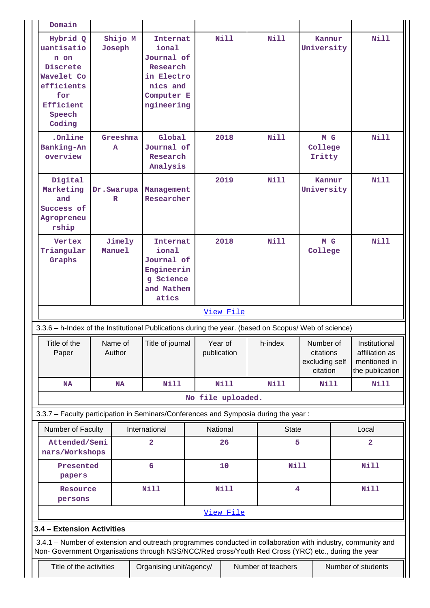| Hybrid Q<br>uantisatio<br>n on<br>Discrete<br>Wavelet Co<br>efficients<br>for<br>Efficient<br>Speech<br>Coding                                                                                                     | Joseph            | Shijo M   | <b>Internat</b><br>ional<br>Journal of<br>Research<br>in Electro<br>nics and<br>Computer E<br>ngineering |                        | Nill        | Nill         | Kannur<br>University                                 | <b>Nill</b>                                                        |
|--------------------------------------------------------------------------------------------------------------------------------------------------------------------------------------------------------------------|-------------------|-----------|----------------------------------------------------------------------------------------------------------|------------------------|-------------|--------------|------------------------------------------------------|--------------------------------------------------------------------|
| .Online<br>Banking-An<br>overview                                                                                                                                                                                  | A                 | Greeshma  | Global<br>Journal of<br>Research<br>Analysis                                                             |                        | 2018        | <b>Nill</b>  | M G<br>College<br>Iritty                             | <b>Nill</b>                                                        |
| Digital<br>Marketing<br>and<br>Success of<br>Agropreneu<br>rship                                                                                                                                                   | Dr. Swarupa<br>R  |           | Management<br>Researcher                                                                                 |                        | 2019        | Nill         | Kannur<br>University                                 | <b>Nill</b>                                                        |
| Vertex<br>Triangular<br>Graphs                                                                                                                                                                                     | Manuel            | Jimely    | Internat<br>ional<br>Journal of<br>Engineerin<br>g Science<br>and Mathem<br>atics                        |                        | 2018        | <b>Nill</b>  | M G<br>College                                       | Nill                                                               |
|                                                                                                                                                                                                                    |                   |           |                                                                                                          |                        | View File   |              |                                                      |                                                                    |
|                                                                                                                                                                                                                    |                   |           |                                                                                                          |                        |             |              |                                                      |                                                                    |
| 3.3.6 - h-Index of the Institutional Publications during the year. (based on Scopus/ Web of science)                                                                                                               |                   |           |                                                                                                          |                        |             |              |                                                      |                                                                    |
| Title of the<br>Paper                                                                                                                                                                                              | Name of<br>Author |           | Title of journal                                                                                         | Year of<br>publication |             | h-index      | Number of<br>citations<br>excluding self<br>citation | Institutional<br>affiliation as<br>mentioned in<br>the publication |
| <b>NA</b>                                                                                                                                                                                                          |                   | <b>NA</b> | <b>Nill</b>                                                                                              |                        | <b>Nill</b> | Nill         | <b>Nill</b>                                          | <b>Nill</b>                                                        |
|                                                                                                                                                                                                                    |                   |           |                                                                                                          | No file uploaded.      |             |              |                                                      |                                                                    |
| 3.3.7 - Faculty participation in Seminars/Conferences and Symposia during the year:                                                                                                                                |                   |           |                                                                                                          |                        |             |              |                                                      |                                                                    |
| Number of Faculty                                                                                                                                                                                                  |                   |           | International                                                                                            | National               |             | <b>State</b> |                                                      | Local                                                              |
| Attended/Semi<br>nars/Workshops                                                                                                                                                                                    |                   |           | $\overline{a}$                                                                                           |                        | 26          |              | 5                                                    | $\overline{\mathbf{2}}$                                            |
| Presented<br>papers                                                                                                                                                                                                |                   |           | 6                                                                                                        |                        | 10          | Nill         |                                                      | <b>Nill</b>                                                        |
| Resource<br>persons                                                                                                                                                                                                |                   |           | Nill                                                                                                     |                        | <b>Nill</b> |              | 4                                                    | <b>Nill</b>                                                        |
|                                                                                                                                                                                                                    |                   |           |                                                                                                          |                        | View File   |              |                                                      |                                                                    |
| 3.4 - Extension Activities                                                                                                                                                                                         |                   |           |                                                                                                          |                        |             |              |                                                      |                                                                    |
| 3.4.1 - Number of extension and outreach programmes conducted in collaboration with industry, community and<br>Non- Government Organisations through NSS/NCC/Red cross/Youth Red Cross (YRC) etc., during the year |                   |           |                                                                                                          |                        |             |              |                                                      |                                                                    |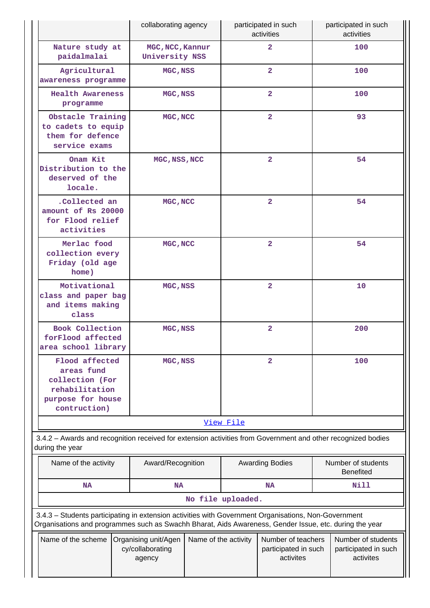|                                                                                                                                                                                                                | collaborating agency                               |                      |                | participated in such<br>activities                      |    | participated in such<br>activities                      |
|----------------------------------------------------------------------------------------------------------------------------------------------------------------------------------------------------------------|----------------------------------------------------|----------------------|----------------|---------------------------------------------------------|----|---------------------------------------------------------|
| Nature study at<br>paidalmalai                                                                                                                                                                                 | MGC, NCC, Kannur<br>University NSS                 |                      |                | $\overline{a}$                                          |    | 100                                                     |
| Agricultural<br>awareness programme                                                                                                                                                                            | MGC, NSS                                           |                      |                | $\overline{2}$                                          |    | 100                                                     |
| <b>Health Awareness</b><br>programme                                                                                                                                                                           | MGC, NSS                                           |                      |                | $\overline{2}$                                          |    | 100                                                     |
| Obstacle Training<br>to cadets to equip<br>them for defence<br>service exams                                                                                                                                   | MGC, NCC                                           |                      |                | $\overline{2}$                                          |    | 93                                                      |
| Onam Kit<br>Distribution to the<br>deserved of the<br>locale.                                                                                                                                                  | MGC, NSS, NCC                                      |                      |                | $\overline{2}$                                          |    | 54                                                      |
| .Collected an<br>amount of Rs 20000<br>for Flood relief<br>activities                                                                                                                                          | MGC, NCC                                           |                      |                | $\overline{2}$                                          |    | 54                                                      |
| Merlac food<br>collection every<br>Friday (old age<br>home)                                                                                                                                                    | MGC, NCC                                           |                      |                | $\overline{2}$                                          | 54 |                                                         |
| Motivational<br>class and paper bag<br>and items making<br>class                                                                                                                                               | MGC, NSS                                           |                      | $\overline{a}$ |                                                         |    | 10                                                      |
| Book Collection<br>forFlood affected<br>area school library                                                                                                                                                    | MGC, NSS                                           |                      | $\mathbf{2}$   |                                                         |    | 200                                                     |
| Flood affected<br>areas fund<br>collection (For<br>rehabilitation<br>purpose for house<br>contruction)                                                                                                         | MGC, NSS                                           |                      |                | $\overline{a}$                                          |    | 100                                                     |
|                                                                                                                                                                                                                |                                                    |                      | View File      |                                                         |    |                                                         |
| 3.4.2 - Awards and recognition received for extension activities from Government and other recognized bodies<br>during the year                                                                                |                                                    |                      |                |                                                         |    |                                                         |
| Name of the activity                                                                                                                                                                                           | Award/Recognition                                  |                      |                | <b>Awarding Bodies</b>                                  |    | Number of students<br><b>Benefited</b>                  |
| <b>NA</b>                                                                                                                                                                                                      | <b>NA</b>                                          |                      |                | <b>NA</b>                                               |    | Nill                                                    |
|                                                                                                                                                                                                                |                                                    | No file uploaded.    |                |                                                         |    |                                                         |
| 3.4.3 - Students participating in extension activities with Government Organisations, Non-Government<br>Organisations and programmes such as Swachh Bharat, Aids Awareness, Gender Issue, etc. during the year |                                                    |                      |                |                                                         |    |                                                         |
| Name of the scheme                                                                                                                                                                                             | Organising unit/Agen<br>cy/collaborating<br>agency | Name of the activity |                | Number of teachers<br>participated in such<br>activites |    | Number of students<br>participated in such<br>activites |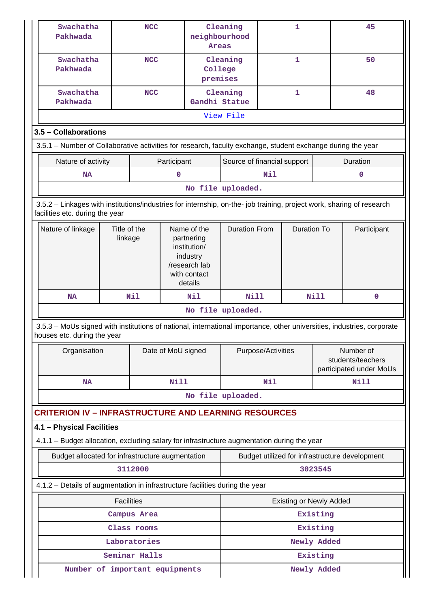| Swachatha<br><b>NCC</b><br>Cleaning<br>1<br>50<br>Pakhwada<br>College<br>premises<br>$\mathbf{1}$<br>Swachatha<br><b>NCC</b><br>Cleaning<br>48<br>Gandhi Statue<br>Pakhwada<br><u>View File</u><br>3.5 - Collaborations<br>3.5.1 – Number of Collaborative activities for research, faculty exchange, student exchange during the year<br><b>Duration</b><br>Nature of activity<br>Participant<br>Source of financial support<br>Nil<br>$\mathbf 0$<br>$\mathbf 0$<br>NA<br>No file uploaded.<br>3.5.2 - Linkages with institutions/industries for internship, on-the- job training, project work, sharing of research<br>facilities etc. during the year<br><b>Duration From</b><br><b>Duration To</b><br>Nature of linkage<br>Title of the<br>Name of the<br>Participant<br>linkage<br>partnering<br>institution/<br>industry<br>/research lab<br>with contact<br>details<br>Nil<br>N11<br><b>Nill</b><br><b>Nill</b><br>0<br><b>NA</b> |
|-------------------------------------------------------------------------------------------------------------------------------------------------------------------------------------------------------------------------------------------------------------------------------------------------------------------------------------------------------------------------------------------------------------------------------------------------------------------------------------------------------------------------------------------------------------------------------------------------------------------------------------------------------------------------------------------------------------------------------------------------------------------------------------------------------------------------------------------------------------------------------------------------------------------------------------------|
|                                                                                                                                                                                                                                                                                                                                                                                                                                                                                                                                                                                                                                                                                                                                                                                                                                                                                                                                           |
|                                                                                                                                                                                                                                                                                                                                                                                                                                                                                                                                                                                                                                                                                                                                                                                                                                                                                                                                           |
|                                                                                                                                                                                                                                                                                                                                                                                                                                                                                                                                                                                                                                                                                                                                                                                                                                                                                                                                           |
|                                                                                                                                                                                                                                                                                                                                                                                                                                                                                                                                                                                                                                                                                                                                                                                                                                                                                                                                           |
|                                                                                                                                                                                                                                                                                                                                                                                                                                                                                                                                                                                                                                                                                                                                                                                                                                                                                                                                           |
|                                                                                                                                                                                                                                                                                                                                                                                                                                                                                                                                                                                                                                                                                                                                                                                                                                                                                                                                           |
|                                                                                                                                                                                                                                                                                                                                                                                                                                                                                                                                                                                                                                                                                                                                                                                                                                                                                                                                           |
|                                                                                                                                                                                                                                                                                                                                                                                                                                                                                                                                                                                                                                                                                                                                                                                                                                                                                                                                           |
|                                                                                                                                                                                                                                                                                                                                                                                                                                                                                                                                                                                                                                                                                                                                                                                                                                                                                                                                           |
|                                                                                                                                                                                                                                                                                                                                                                                                                                                                                                                                                                                                                                                                                                                                                                                                                                                                                                                                           |
|                                                                                                                                                                                                                                                                                                                                                                                                                                                                                                                                                                                                                                                                                                                                                                                                                                                                                                                                           |
| No file uploaded.                                                                                                                                                                                                                                                                                                                                                                                                                                                                                                                                                                                                                                                                                                                                                                                                                                                                                                                         |
| 3.5.3 - MoUs signed with institutions of national, international importance, other universities, industries, corporate<br>houses etc. during the year                                                                                                                                                                                                                                                                                                                                                                                                                                                                                                                                                                                                                                                                                                                                                                                     |
| Organisation<br>Purpose/Activities<br>Number of<br>Date of MoU signed<br>students/teachers<br>participated under MoUs                                                                                                                                                                                                                                                                                                                                                                                                                                                                                                                                                                                                                                                                                                                                                                                                                     |
| <b>Nill</b><br>Nil<br><b>Nill</b><br><b>NA</b>                                                                                                                                                                                                                                                                                                                                                                                                                                                                                                                                                                                                                                                                                                                                                                                                                                                                                            |
| No file uploaded.                                                                                                                                                                                                                                                                                                                                                                                                                                                                                                                                                                                                                                                                                                                                                                                                                                                                                                                         |
| <b>CRITERION IV - INFRASTRUCTURE AND LEARNING RESOURCES</b>                                                                                                                                                                                                                                                                                                                                                                                                                                                                                                                                                                                                                                                                                                                                                                                                                                                                               |
| 4.1 - Physical Facilities                                                                                                                                                                                                                                                                                                                                                                                                                                                                                                                                                                                                                                                                                                                                                                                                                                                                                                                 |
| 4.1.1 - Budget allocation, excluding salary for infrastructure augmentation during the year                                                                                                                                                                                                                                                                                                                                                                                                                                                                                                                                                                                                                                                                                                                                                                                                                                               |
| Budget allocated for infrastructure augmentation<br>Budget utilized for infrastructure development                                                                                                                                                                                                                                                                                                                                                                                                                                                                                                                                                                                                                                                                                                                                                                                                                                        |
| 3112000<br>3023545                                                                                                                                                                                                                                                                                                                                                                                                                                                                                                                                                                                                                                                                                                                                                                                                                                                                                                                        |
| 4.1.2 - Details of augmentation in infrastructure facilities during the year                                                                                                                                                                                                                                                                                                                                                                                                                                                                                                                                                                                                                                                                                                                                                                                                                                                              |
| <b>Facilities</b><br><b>Existing or Newly Added</b>                                                                                                                                                                                                                                                                                                                                                                                                                                                                                                                                                                                                                                                                                                                                                                                                                                                                                       |
| Existing<br>Campus Area                                                                                                                                                                                                                                                                                                                                                                                                                                                                                                                                                                                                                                                                                                                                                                                                                                                                                                                   |
| Existing<br>Class rooms                                                                                                                                                                                                                                                                                                                                                                                                                                                                                                                                                                                                                                                                                                                                                                                                                                                                                                                   |
| Laboratories<br>Newly Added<br>Seminar Halls                                                                                                                                                                                                                                                                                                                                                                                                                                                                                                                                                                                                                                                                                                                                                                                                                                                                                              |
| Existing<br>Number of important equipments<br>Newly Added                                                                                                                                                                                                                                                                                                                                                                                                                                                                                                                                                                                                                                                                                                                                                                                                                                                                                 |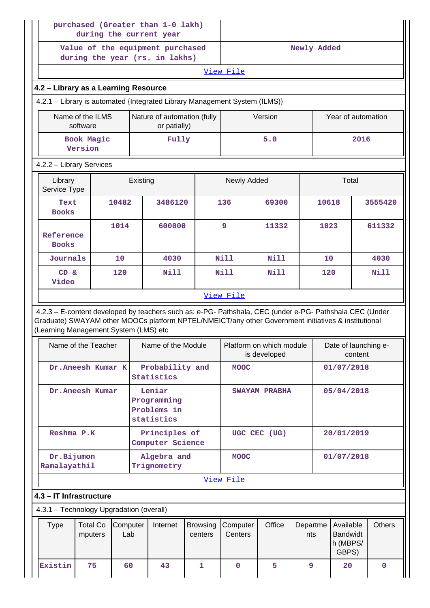|                                                                                                                      | during the current year      |     |                    | purchased (Greater than 1-0 lakh)                                  |                                                                            |                     |                                                                                                                                                                                                                |                 |                                                   |               |  |
|----------------------------------------------------------------------------------------------------------------------|------------------------------|-----|--------------------|--------------------------------------------------------------------|----------------------------------------------------------------------------|---------------------|----------------------------------------------------------------------------------------------------------------------------------------------------------------------------------------------------------------|-----------------|---------------------------------------------------|---------------|--|
|                                                                                                                      |                              |     |                    | Value of the equipment purchased<br>during the year (rs. in lakhs) |                                                                            | Newly Added         |                                                                                                                                                                                                                |                 |                                                   |               |  |
|                                                                                                                      |                              |     |                    |                                                                    |                                                                            | View File           |                                                                                                                                                                                                                |                 |                                                   |               |  |
| 4.2 - Library as a Learning Resource                                                                                 |                              |     |                    |                                                                    |                                                                            |                     |                                                                                                                                                                                                                |                 |                                                   |               |  |
|                                                                                                                      |                              |     |                    |                                                                    | 4.2.1 - Library is automated {Integrated Library Management System (ILMS)} |                     |                                                                                                                                                                                                                |                 |                                                   |               |  |
|                                                                                                                      | Name of the ILMS<br>software |     |                    | Nature of automation (fully<br>or patially)                        |                                                                            |                     | Version                                                                                                                                                                                                        |                 | Year of automation                                |               |  |
|                                                                                                                      | Book Magic<br>Version        |     |                    | Fully                                                              |                                                                            |                     | 5.0                                                                                                                                                                                                            |                 | 2016                                              |               |  |
| 4.2.2 - Library Services                                                                                             |                              |     |                    |                                                                    |                                                                            |                     |                                                                                                                                                                                                                |                 |                                                   |               |  |
| Library<br>Service Type                                                                                              |                              |     | Existing           |                                                                    |                                                                            | Newly Added         |                                                                                                                                                                                                                |                 | Total                                             |               |  |
| Text<br>10482<br>3486120<br><b>Books</b>                                                                             |                              |     |                    |                                                                    |                                                                            | 136                 | 69300                                                                                                                                                                                                          |                 | 10618                                             | 3555420       |  |
| 1014<br>Reference<br><b>Books</b>                                                                                    |                              |     |                    | 600000                                                             |                                                                            | 9                   | 11332                                                                                                                                                                                                          |                 | 1023                                              | 611332        |  |
| Journals<br>10 <sup>°</sup>                                                                                          |                              |     |                    | 4030                                                               |                                                                            | Nill                | Nill                                                                                                                                                                                                           |                 | 10                                                | 4030          |  |
| $CD \&$<br>Video                                                                                                     |                              | 120 |                    | Nill                                                               |                                                                            | Nill                | Nill                                                                                                                                                                                                           |                 | 120                                               | Nill          |  |
|                                                                                                                      |                              |     |                    | View File                                                          |                                                                            |                     |                                                                                                                                                                                                                |                 |                                                   |               |  |
| (Learning Management System (LMS) etc                                                                                |                              |     |                    |                                                                    |                                                                            |                     | 4.2.3 - E-content developed by teachers such as: e-PG- Pathshala, CEC (under e-PG- Pathshala CEC (Under<br>Graduate) SWAYAM other MOOCs platform NPTEL/NMEICT/any other Government initiatives & institutional |                 |                                                   |               |  |
|                                                                                                                      | Name of the Teacher          |     | Name of the Module |                                                                    |                                                                            |                     | Platform on which module<br>is developed                                                                                                                                                                       |                 | Date of launching e-<br>content                   |               |  |
|                                                                                                                      | Dr.Aneesh Kumar K            |     |                    | Probability and<br>Statistics                                      |                                                                            | <b>MOOC</b>         |                                                                                                                                                                                                                |                 | 01/07/2018                                        |               |  |
|                                                                                                                      | Dr.Aneesh Kumar              |     |                    | Leniar<br>Programming<br>Problems in<br>statistics                 |                                                                            |                     | SWAYAM PRABHA                                                                                                                                                                                                  |                 | 05/04/2018                                        |               |  |
| Reshma P.K                                                                                                           |                              |     |                    | Principles of<br>Computer Science                                  |                                                                            |                     | UGC CEC (UG)                                                                                                                                                                                                   |                 | 20/01/2019                                        |               |  |
| Dr.Bijumon<br>Ramalayathil                                                                                           |                              |     |                    | Algebra and<br>Trignometry                                         |                                                                            | <b>MOOC</b>         |                                                                                                                                                                                                                |                 | 01/07/2018                                        |               |  |
|                                                                                                                      |                              |     |                    |                                                                    |                                                                            | View File           |                                                                                                                                                                                                                |                 |                                                   |               |  |
| 4.3 - IT Infrastructure                                                                                              |                              |     |                    |                                                                    |                                                                            |                     |                                                                                                                                                                                                                |                 |                                                   |               |  |
|                                                                                                                      |                              |     |                    |                                                                    |                                                                            |                     |                                                                                                                                                                                                                |                 |                                                   |               |  |
| 4.3.1 - Technology Upgradation (overall)<br><b>Total Co</b><br><b>Type</b><br>Computer<br>Internet<br>Lab<br>mputers |                              |     |                    |                                                                    | <b>Browsing</b><br>centers                                                 | Computer<br>Centers | Office                                                                                                                                                                                                         | Departme<br>nts | Available<br><b>Bandwidt</b><br>h (MBPS/<br>GBPS) | <b>Others</b> |  |
| Existin                                                                                                              | 75                           | 60  |                    | 43                                                                 | 1                                                                          | $\mathbf 0$         | 5                                                                                                                                                                                                              | 9               | 20                                                | $\mathbf 0$   |  |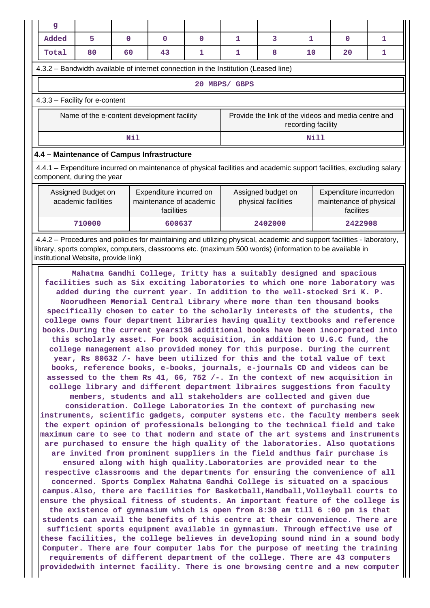| $\mathbf{g}$                                                                                                                                                                                                                 |                            |                                            |        |   |                                                                                                                      |         |      |         |   |  |  |  |
|------------------------------------------------------------------------------------------------------------------------------------------------------------------------------------------------------------------------------|----------------------------|--------------------------------------------|--------|---|----------------------------------------------------------------------------------------------------------------------|---------|------|---------|---|--|--|--|
| Added                                                                                                                                                                                                                        | 5                          | $\Omega$                                   | 0      | 0 | 1                                                                                                                    | 3       | 1    | 0       | 1 |  |  |  |
| 1<br>80<br>60<br>43<br>1<br>8<br>10<br>20<br>1<br>Total                                                                                                                                                                      |                            |                                            |        |   |                                                                                                                      |         |      |         |   |  |  |  |
| 4.3.2 – Bandwidth available of internet connection in the Institution (Leased line)                                                                                                                                          |                            |                                            |        |   |                                                                                                                      |         |      |         |   |  |  |  |
| 20 MBPS/ GBPS                                                                                                                                                                                                                |                            |                                            |        |   |                                                                                                                      |         |      |         |   |  |  |  |
| 4.3.3 - Facility for e-content                                                                                                                                                                                               |                            |                                            |        |   |                                                                                                                      |         |      |         |   |  |  |  |
| Provide the link of the videos and media centre and<br>Name of the e-content development facility<br>recording facility                                                                                                      |                            |                                            |        |   |                                                                                                                      |         |      |         |   |  |  |  |
|                                                                                                                                                                                                                              |                            | Nil                                        |        |   |                                                                                                                      |         | Nill |         |   |  |  |  |
|                                                                                                                                                                                                                              |                            | 4.4 - Maintenance of Campus Infrastructure |        |   |                                                                                                                      |         |      |         |   |  |  |  |
|                                                                                                                                                                                                                              | component, during the year |                                            |        |   | 4.4.1 – Expenditure incurred on maintenance of physical facilities and academic support facilities, excluding salary |         |      |         |   |  |  |  |
| Assigned Budget on<br>Expenditure incurred on<br>Assigned budget on<br>Expenditure incurredon<br>academic facilities<br>maintenance of academic<br>physical facilities<br>maintenance of physical<br>facilites<br>facilities |                            |                                            |        |   |                                                                                                                      |         |      |         |   |  |  |  |
|                                                                                                                                                                                                                              | 710000                     |                                            | 600637 |   |                                                                                                                      | 2402000 |      | 2422908 |   |  |  |  |

 4.4.2 – Procedures and policies for maintaining and utilizing physical, academic and support facilities - laboratory, library, sports complex, computers, classrooms etc. (maximum 500 words) (information to be available in institutional Website, provide link)

 **Mahatma Gandhi College, Iritty has a suitably designed and spacious facilities such as Six exciting laboratories to which one more laboratory was added during the current year. In addition to the well-stocked Sri K. P. Noorudheen Memorial Central Library where more than ten thousand books specifically chosen to cater to the scholarly interests of the students, the college owns four department libraries having quality textbooks and reference books.During the current years136 additional books have been incorporated into this scholarly asset. For book acquisition, in addition to U.G.C fund, the college management also provided money for this purpose. During the current year, Rs 80632 /- have been utilized for this and the total value of text books, reference books, e-books, journals, e-journals CD and videos can be assessed to the them Rs 41, 66, 752 /-. In the context of new acquisition in college library and different department libraires suggestions from faculty members, students and all stakeholders are collected and given due consideration. College Laboratories In the context of purchasing new instruments, scientific gadgets, computer systems etc. the faculty members seek the expert opinion of professionals belonging to the technical field and take maximum care to see to that modern and state of the art systems and instruments are purchased to ensure the high quality of the laboratories. Also quotations are invited from prominent suppliers in the field andthus fair purchase is ensured along with high quality.Laboratories are provided near to the respective classrooms and the departments for ensuring the convenience of all concerned. Sports Complex Mahatma Gandhi College is situated on a spacious campus.Also, there are facilities for Basketball,Handball,Volleyball courts to ensure the physical fitness of students. An important feature of the college is the existence of gymnasium which is open from 8:30 am till 6 :00 pm is that students can avail the benefits of this centre at their convenience. There are sufficient sports equipment available in gymnasium. Through effective use of these facilities, the college believes in developing sound mind in a sound body Computer. There are four computer labs for the purpose of meeting the training requirements of different department of the college. There are 43 computers providedwith internet facility. There is one browsing centre and a new computer**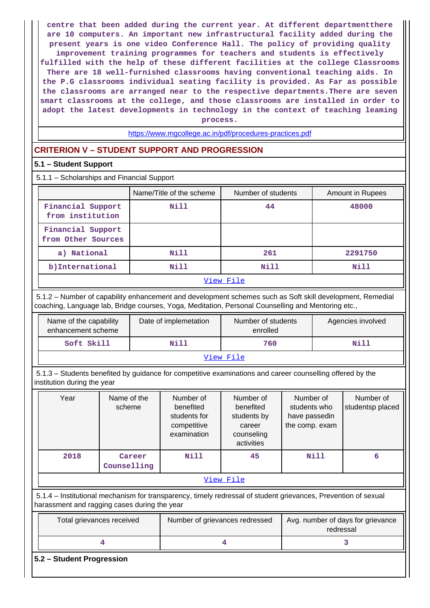**centre that been added during the current year. At different departmentthere are 10 computers. An important new infrastructural facility added during the present years is one video Conference Hall. The policy of providing quality improvement training programmes for teachers and students is effectively fulfilled with the help of these different facilities at the college Classrooms There are 18 well-furnished classrooms having conventional teaching aids. In the P.G classrooms individual seating facility is provided. As Far as possible the classrooms are arranged near to the respective departments.There are seven smart classrooms at the college, and those classrooms are installed in order to adopt the latest developments in technology in the context of teaching leaming process.**

<https://www.mgcollege.ac.in/pdf/procedures-practices.pdf>

# **CRITERION V – STUDENT SUPPORT AND PROGRESSION**

# **5.1 – Student Support**

5.1.1 – Scholarships and Financial Support

|                                         | Name/Title of the scheme | Number of students | Amount in Rupees |
|-----------------------------------------|--------------------------|--------------------|------------------|
| Financial Support<br>from institution   | Nill                     | 44                 | 48000            |
| Financial Support<br>from Other Sources |                          |                    |                  |
| a) National                             | Nill                     | 261                | 2291750          |
| b) International                        | Nill                     | Nill               | Nill             |
|                                         |                          | ママキ こうし かいき コール    |                  |

### [View File](https://assessmentonline.naac.gov.in/public/Postacc/Scholarships/13560_Scholarships_1630737291.xlsx)

 5.1.2 – Number of capability enhancement and development schemes such as Soft skill development, Remedial coaching, Language lab, Bridge courses, Yoga, Meditation, Personal Counselling and Mentoring etc.,

| Name of the capability<br>enhancement scheme | Date of implemetation | Number of students<br>enrolled | Agencies involved |  |  |
|----------------------------------------------|-----------------------|--------------------------------|-------------------|--|--|
| Soft Skill                                   | Nill                  | 760                            | Nill              |  |  |
| View File                                    |                       |                                |                   |  |  |

 5.1.3 – Students benefited by guidance for competitive examinations and career counselling offered by the institution during the year

| Year      | Name of the<br>scheme | Number of<br>benefited<br>students for<br>competitive<br>examination | Number of<br>benefited<br>students by<br>career<br>counseling<br>activities | Number of<br>students who<br>have passedin<br>the comp. exam | Number of<br>studentsp placed |  |
|-----------|-----------------------|----------------------------------------------------------------------|-----------------------------------------------------------------------------|--------------------------------------------------------------|-------------------------------|--|
| 2018      | Career<br>Counselling | Nill                                                                 | 45                                                                          | Nill                                                         | 6                             |  |
| View File |                       |                                                                      |                                                                             |                                                              |                               |  |

 5.1.4 – Institutional mechanism for transparency, timely redressal of student grievances, Prevention of sexual harassment and ragging cases during the year

| Total grievances received | Number of grievances redressed | Avg. number of days for grievance<br>redressal |
|---------------------------|--------------------------------|------------------------------------------------|
|                           |                                |                                                |

**5.2 – Student Progression**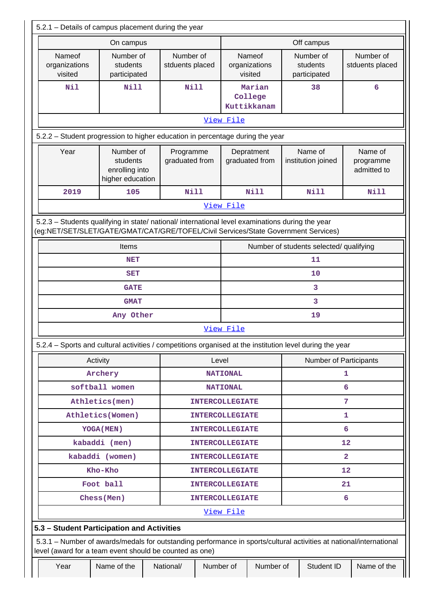|                                                                                                                                                                                        | 5.2.1 - Details of campus placement during the year         |  |                              |                             |                                         |                                    |                |                                       |   |                                     |
|----------------------------------------------------------------------------------------------------------------------------------------------------------------------------------------|-------------------------------------------------------------|--|------------------------------|-----------------------------|-----------------------------------------|------------------------------------|----------------|---------------------------------------|---|-------------------------------------|
| On campus                                                                                                                                                                              |                                                             |  |                              |                             |                                         |                                    | Off campus     |                                       |   |                                     |
| Nameof<br>Number of<br>students<br>organizations<br>visited<br>participated                                                                                                            |                                                             |  | Number of<br>stduents placed |                             |                                         | Nameof<br>organizations<br>visited |                | Number of<br>students<br>participated |   | Number of<br>stduents placed        |
| <b>Nil</b>                                                                                                                                                                             | <b>Nill</b>                                                 |  | <b>Nill</b>                  |                             |                                         | Marian<br>College<br>Kuttikkanam   |                | 38                                    |   | 6                                   |
|                                                                                                                                                                                        |                                                             |  |                              |                             | View File                               |                                    |                |                                       |   |                                     |
| 5.2.2 - Student progression to higher education in percentage during the year                                                                                                          |                                                             |  |                              |                             |                                         |                                    |                |                                       |   |                                     |
| Year                                                                                                                                                                                   | Number of<br>students<br>enrolling into<br>higher education |  | Programme<br>graduated from  |                             |                                         | Depratment<br>graduated from       |                | Name of<br>institution joined         |   | Name of<br>programme<br>admitted to |
| 2019                                                                                                                                                                                   | 105                                                         |  | <b>Nill</b>                  |                             |                                         | <b>Nill</b>                        |                | <b>Nill</b>                           |   | <b>Nill</b>                         |
|                                                                                                                                                                                        |                                                             |  |                              |                             | View File                               |                                    |                |                                       |   |                                     |
| 5.2.3 - Students qualifying in state/ national/ international level examinations during the year<br>(eg:NET/SET/SLET/GATE/GMAT/CAT/GRE/TOFEL/Civil Services/State Government Services) |                                                             |  |                              |                             |                                         |                                    |                |                                       |   |                                     |
|                                                                                                                                                                                        | Items                                                       |  |                              |                             | Number of students selected/ qualifying |                                    |                |                                       |   |                                     |
|                                                                                                                                                                                        | <b>NET</b>                                                  |  |                              |                             | 11                                      |                                    |                |                                       |   |                                     |
| <b>SET</b>                                                                                                                                                                             |                                                             |  |                              |                             | 10                                      |                                    |                |                                       |   |                                     |
| <b>GATE</b>                                                                                                                                                                            |                                                             |  |                              |                             | 3                                       |                                    |                |                                       |   |                                     |
| <b>GMAT</b>                                                                                                                                                                            |                                                             |  |                              |                             | 3                                       |                                    |                |                                       |   |                                     |
| Any Other                                                                                                                                                                              |                                                             |  |                              |                             | 19                                      |                                    |                |                                       |   |                                     |
| 5.2.4 – Sports and cultural activities / competitions organised at the institution level during the year                                                                               |                                                             |  |                              |                             | View File                               |                                    |                |                                       |   |                                     |
|                                                                                                                                                                                        | Activity                                                    |  |                              | Level                       |                                         |                                    |                | <b>Number of Participants</b>         |   |                                     |
|                                                                                                                                                                                        | Archery                                                     |  |                              |                             | <b>NATIONAL</b><br>1                    |                                    |                |                                       |   |                                     |
|                                                                                                                                                                                        | softball women                                              |  |                              |                             | 6<br><b>NATIONAL</b>                    |                                    |                |                                       |   |                                     |
|                                                                                                                                                                                        | Athletics(men)                                              |  |                              | 7<br><b>INTERCOLLEGIATE</b> |                                         |                                    |                |                                       |   |                                     |
|                                                                                                                                                                                        | Athletics (Women)                                           |  | <b>INTERCOLLEGIATE</b>       |                             |                                         | 1                                  |                |                                       |   |                                     |
|                                                                                                                                                                                        | <b>YOGA (MEN)</b>                                           |  |                              |                             | <b>INTERCOLLEGIATE</b>                  |                                    | 6              |                                       |   |                                     |
|                                                                                                                                                                                        | kabaddi (men)                                               |  |                              |                             | <b>INTERCOLLEGIATE</b>                  |                                    | 12             |                                       |   |                                     |
|                                                                                                                                                                                        | kabaddi (women)                                             |  |                              |                             | <b>INTERCOLLEGIATE</b>                  |                                    | $\overline{a}$ |                                       |   |                                     |
| Kho-Kho                                                                                                                                                                                |                                                             |  |                              |                             | <b>INTERCOLLEGIATE</b>                  |                                    | 12             |                                       |   |                                     |
| Foot ball                                                                                                                                                                              |                                                             |  | <b>INTERCOLLEGIATE</b>       |                             | 21                                      |                                    |                |                                       |   |                                     |
|                                                                                                                                                                                        | Chess (Men)                                                 |  |                              |                             | <b>INTERCOLLEGIATE</b>                  |                                    |                |                                       | 6 |                                     |
|                                                                                                                                                                                        |                                                             |  |                              |                             | View File                               |                                    |                |                                       |   |                                     |
| 5.3 - Student Participation and Activities<br>5.3.1 - Number of awards/medals for outstanding performance in sports/cultural activities at national/international                      |                                                             |  |                              |                             |                                         |                                    |                |                                       |   |                                     |
| level (award for a team event should be counted as one)                                                                                                                                |                                                             |  |                              |                             |                                         |                                    |                |                                       |   |                                     |
| Number of<br>Year<br>Name of the<br>National/                                                                                                                                          |                                                             |  |                              | Number of                   |                                         | Student ID                         |                | Name of the                           |   |                                     |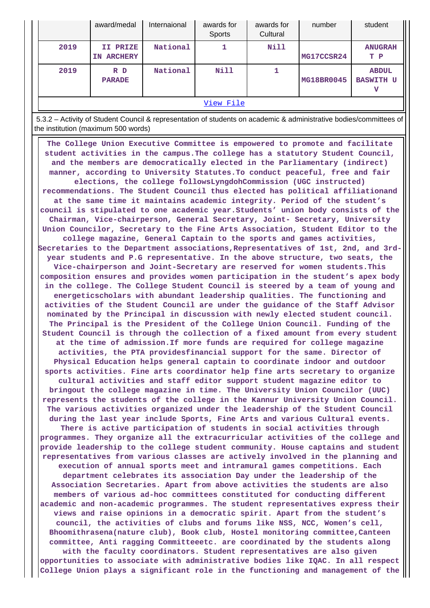|           | award/medal                      | Internaional | awards for<br>Sports | awards for<br>Cultural | number     | student                          |
|-----------|----------------------------------|--------------|----------------------|------------------------|------------|----------------------------------|
| 2019      | II PRIZE<br><b>ARCHERY</b><br>IN | National     |                      | Nill                   | MG17CCSR24 | <b>ANUGRAH</b><br>T P            |
| 2019      | R D<br><b>PARADE</b>             | National     | <b>Nill</b>          |                        | MG18BR0045 | <b>ABDUL</b><br><b>BASWITH U</b> |
| View File |                                  |              |                      |                        |            |                                  |

 5.3.2 – Activity of Student Council & representation of students on academic & administrative bodies/committees of the institution (maximum 500 words)

 **The College Union Executive Committee is empowered to promote and facilitate student activities in the campus.The college has a statutory Student Council, and the members are democratically elected in the Parliamentary (indirect) manner, according to University Statutes.To conduct peaceful, free and fair elections, the college followsLyngdohCommission (UGC instructed) recommendations. The Student Council thus elected has political affiliationand at the same time it maintains academic integrity. Period of the student's council is stipulated to one academic year.Students' union body consists of the Chairman, Vice-chairperson, General Secretary, Joint- Secretary, University Union Councilor, Secretary to the Fine Arts Association, Student Editor to the college magazine, General Captain to the sports and games activities, Secretaries to the Department associations,Representatives of 1st, 2nd, and 3rdyear students and P.G representative. In the above structure, two seats, the Vice-chairperson and Joint-Secretary are reserved for women students.This composition ensures and provides women participation in the student's apex body in the college. The College Student Council is steered by a team of young and energeticscholars with abundant leadership qualities. The functioning and activities of the Student Council are under the guidance of the Staff Advisor nominated by the Principal in discussion with newly elected student council. The Principal is the President of the College Union Council. Funding of the Student Council is through the collection of a fixed amount from every student at the time of admission.If more funds are required for college magazine activities, the PTA providesfinancial support for the same. Director of Physical Education helps general captain to coordinate indoor and outdoor sports activities. Fine arts coordinator help fine arts secretary to organize cultural activities and staff editor support student magazine editor to bringout the college magazine in time. The University Union Councilor (UUC) represents the students of the college in the Kannur University Union Council. The various activities organized under the leadership of the Student Council during the last year include Sports, Fine Arts and various Cultural events. There is active participation of students in social activities through programmes. They organize all the extracurricular activities of the college and provide leadership to the college student community. House captains and student representatives from various classes are actively involved in the planning and execution of annual sports meet and intramural games competitions. Each department celebrates its association Day under the leadership of the Association Secretaries. Apart from above activities the students are also members of various ad-hoc committees constituted for conducting different academic and non-academic programmes. The student representatives express their views and raise opinions in a democratic spirit. Apart from the student's council, the activities of clubs and forums like NSS, NCC, Women's cell, Bhoomithrasena(nature club), Book club, Hostel monitoring committee,Canteen committee, Anti ragging Committeeetc. are coordinated by the students along with the faculty coordinators. Student representatives are also given opportunities to associate with administrative bodies like IQAC. In all respect College Union plays a significant role in the functioning and management of the**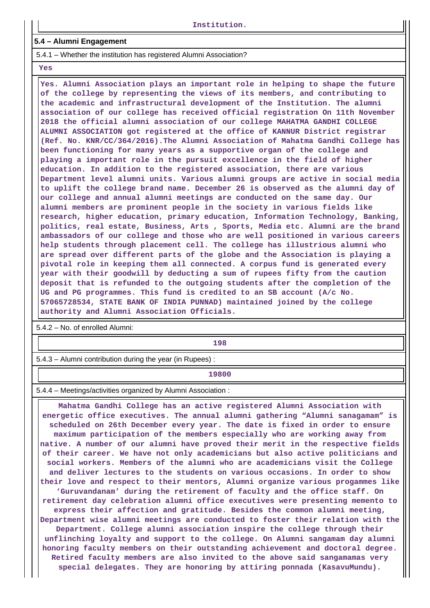#### **5.4 – Alumni Engagement**

5.4.1 – Whether the institution has registered Alumni Association?

 **Yes**

 **Yes. Alumni Association plays an important role in helping to shape the future of the college by representing the views of its members, and contributing to the academic and infrastructural development of the Institution. The alumni association of our college has received official registration On 11th November 2018 the official alumni association of our college MAHATMA GANDHI COLLEGE ALUMNI ASSOCIATION got registered at the office of KANNUR District registrar (Ref. No. KNR/CC/364/2016).The Alumni Association of Mahatma Gandhi College has been functioning for many years as a supportive organ of the college and playing a important role in the pursuit excellence in the field of higher education. In addition to the registered association, there are various Department level alumni units. Various alumni groups are active in social media to uplift the college brand name. December 26 is observed as the alumni day of our college and annual alumni meetings are conducted on the same day. Our alumni members are prominent people in the society in various fields like research, higher education, primary education, Information Technology, Banking, politics, real estate, Business, Arts , Sports, Media etc. Alumni are the brand ambassadors of our college and those who are well positioned in various careers help students through placement cell. The college has illustrious alumni who are spread over different parts of the globe and the Association is playing a pivotal role in keeping them all connected. A corpus fund is generated every year with their goodwill by deducting a sum of rupees fifty from the caution deposit that is refunded to the outgoing students after the completion of the UG and PG programmes. This fund is credited to an SB account (A/c No. 57065728534, STATE BANK OF INDIA PUNNAD) maintained joined by the college authority and Alumni Association Officials.**

5.4.2 – No. of enrolled Alumni:

**198** 

5.4.3 – Alumni contribution during the year (in Rupees) :

**19800**

5.4.4 – Meetings/activities organized by Alumni Association :

 **Mahatma Gandhi College has an active registered Alumni Association with energetic office executives. The annual alumni gathering "Alumni sanagamam" is scheduled on 26th December every year. The date is fixed in order to ensure maximum participation of the members especially who are working away from native. A number of our alumni have proved their merit in the respective fields of their career. We have not only academicians but also active politicians and social workers. Members of the alumni who are academicians visit the College and deliver lectures to the students on various occasions. In order to show their love and respect to their mentors, Alumni organize various progammes like 'Guruvandanam' during the retirement of faculty and the office staff. On retirement day celebration alumni office executives were presenting memento to express their affection and gratitude. Besides the common alumni meeting, Department wise alumni meetings are conducted to foster their relation with the Department. College alumni association inspire the college through their unflinching loyalty and support to the college. On Alumni sangamam day alumni honoring faculty members on their outstanding achievement and doctoral degree. Retired faculty members are also invited to the above said sangamamas very special delegates. They are honoring by attiring ponnada (KasavuMundu).**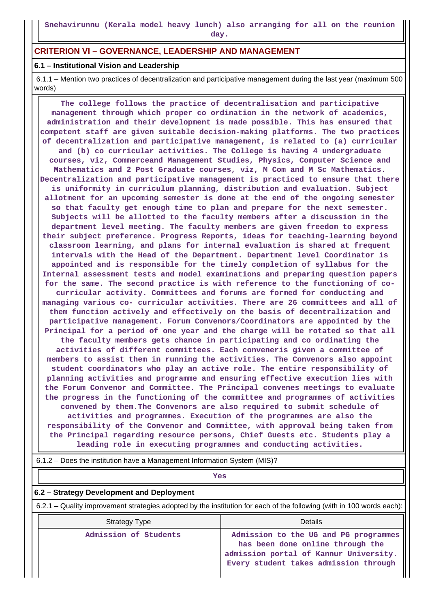## **CRITERION VI – GOVERNANCE, LEADERSHIP AND MANAGEMENT**

#### **6.1 – Institutional Vision and Leadership**

 6.1.1 – Mention two practices of decentralization and participative management during the last year (maximum 500 words)

 **The college follows the practice of decentralisation and participative management through which proper co ordination in the network of academics, administration and their development is made possible. This has ensured that competent staff are given suitable decision-making platforms. The two practices of decentralization and participative management, is related to (a) curricular and (b) co curricular activities. The College is having 4 undergraduate courses, viz, Commerceand Management Studies, Physics, Computer Science and Mathematics and 2 Post Graduate courses, viz, M Com and M Sc Mathematics. Decentralization and participative management is practiced to ensure that there is uniformity in curriculum planning, distribution and evaluation. Subject allotment for an upcoming semester is done at the end of the ongoing semester so that faculty get enough time to plan and prepare for the next semester. Subjects will be allotted to the faculty members after a discussion in the department level meeting. The faculty members are given freedom to express their subject preference. Progress Reports, ideas for teaching-learning beyond classroom learning, and plans for internal evaluation is shared at frequent intervals with the Head of the Department. Department level Coordinator is appointed and is responsible for the timely completion of syllabus for the Internal assessment tests and model examinations and preparing question papers for the same. The second practice is with reference to the functioning of cocurricular activity. Committees and forums are formed for conducting and managing various co- curricular activities. There are 26 committees and all of them function actively and effectively on the basis of decentralization and participative management. Forum Convenors/Coordinators are appointed by the Principal for a period of one year and the charge will be rotated so that all the faculty members gets chance in participating and co ordinating the activities of different committees. Each conveneris given a committee of members to assist them in running the activities. The Convenors also appoint student coordinators who play an active role. The entire responsibility of planning activities and programme and ensuring effective execution lies with the Forum Convenor and Committee. The Principal convenes meetings to evaluate the progress in the functioning of the committee and programmes of activities convened by them.The Convenors are also required to submit schedule of activities and programmes. Execution of the programmes are also the responsibility of the Convenor and Committee, with approval being taken from the Principal regarding resource persons, Chief Guests etc. Students play a leading role in executing programmes and conducting activities.**

6.1.2 – Does the institution have a Management Information System (MIS)?

|                                                                                                                       | Yes                   |                                                                                                                                                              |  |  |  |
|-----------------------------------------------------------------------------------------------------------------------|-----------------------|--------------------------------------------------------------------------------------------------------------------------------------------------------------|--|--|--|
| 6.2 - Strategy Development and Deployment                                                                             |                       |                                                                                                                                                              |  |  |  |
| 6.2.1 – Quality improvement strategies adopted by the institution for each of the following (with in 100 words each): |                       |                                                                                                                                                              |  |  |  |
|                                                                                                                       | Strategy Type         | Details                                                                                                                                                      |  |  |  |
|                                                                                                                       | Admission of Students | Admission to the UG and PG programmes<br>has been done online through the<br>admission portal of Kannur University.<br>Every student takes admission through |  |  |  |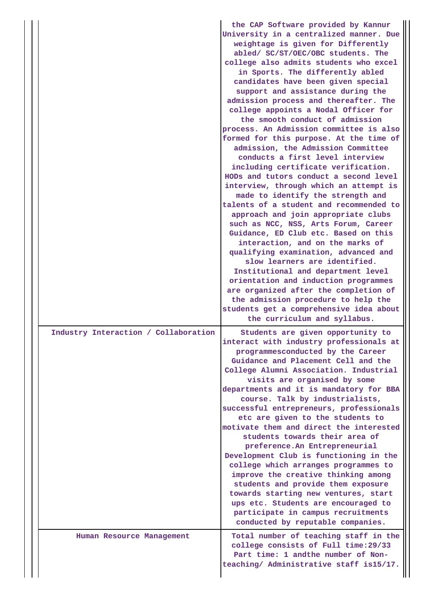|                                      | the CAP Software provided by Kannur<br>University in a centralized manner. Due<br>weightage is given for Differently<br>abled/ SC/ST/OEC/OBC students. The<br>college also admits students who excel<br>in Sports. The differently abled<br>candidates have been given special<br>support and assistance during the<br>admission process and thereafter. The<br>college appoints a Nodal Officer for<br>the smooth conduct of admission<br>process. An Admission committee is also<br>formed for this purpose. At the time of<br>admission, the Admission Committee<br>conducts a first level interview<br>including certificate verification.<br>HODs and tutors conduct a second level<br>interview, through which an attempt is<br>made to identify the strength and<br>talents of a student and recommended to<br>approach and join appropriate clubs<br>such as NCC, NSS, Arts Forum, Career<br>Guidance, ED Club etc. Based on this<br>interaction, and on the marks of<br>qualifying examination, advanced and<br>slow learners are identified.<br>Institutional and department level<br>orientation and induction programmes<br>are organized after the completion of<br>the admission procedure to help the<br>students get a comprehensive idea about |
|--------------------------------------|-----------------------------------------------------------------------------------------------------------------------------------------------------------------------------------------------------------------------------------------------------------------------------------------------------------------------------------------------------------------------------------------------------------------------------------------------------------------------------------------------------------------------------------------------------------------------------------------------------------------------------------------------------------------------------------------------------------------------------------------------------------------------------------------------------------------------------------------------------------------------------------------------------------------------------------------------------------------------------------------------------------------------------------------------------------------------------------------------------------------------------------------------------------------------------------------------------------------------------------------------------------------|
| Industry Interaction / Collaboration | the curriculum and syllabus.<br>Students are given opportunity to<br>interact with industry professionals at<br>programmesconducted by the Career<br>Guidance and Placement Cell and the<br>College Alumni Association. Industrial<br>visits are organised by some<br>departments and it is mandatory for BBA<br>course. Talk by industrialists,<br>successful entrepreneurs, professionals<br>etc are given to the students to<br>motivate them and direct the interested<br>students towards their area of<br>preference. An Entrepreneurial<br>Development Club is functioning in the<br>college which arranges programmes to<br>improve the creative thinking among<br>students and provide them exposure<br>towards starting new ventures, start<br>ups etc. Students are encouraged to<br>participate in campus recruitments<br>conducted by reputable companies.                                                                                                                                                                                                                                                                                                                                                                                         |
| Human Resource Management            | Total number of teaching staff in the<br>college consists of Full time: 29/33<br>Part time: 1 andthe number of Non-<br>teaching/ Administrative staff is15/17.                                                                                                                                                                                                                                                                                                                                                                                                                                                                                                                                                                                                                                                                                                                                                                                                                                                                                                                                                                                                                                                                                                  |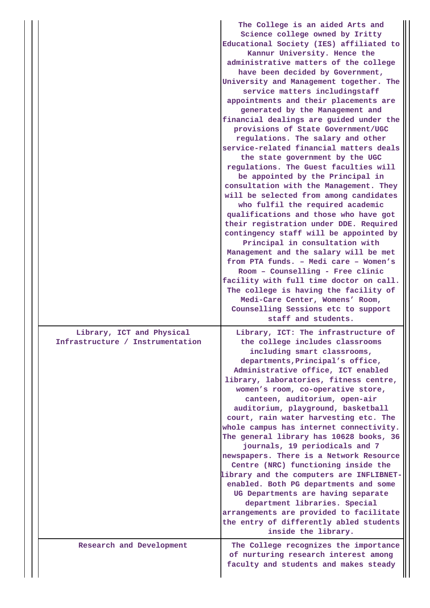|  |                                                               | The College is an aided Arts and<br>Science college owned by Iritty<br>Educational Society (IES) affiliated to<br>Kannur University. Hence the<br>administrative matters of the college<br>have been decided by Government,<br>University and Management together. The<br>service matters includingstaff<br>appointments and their placements are<br>generated by the Management and<br>financial dealings are guided under the<br>provisions of State Government/UGC<br>regulations. The salary and other<br>service-related financial matters deals<br>the state government by the UGC<br>regulations. The Guest faculties will<br>be appointed by the Principal in<br>consultation with the Management. They<br>will be selected from among candidates<br>who fulfil the required academic<br>qualifications and those who have got<br>their registration under DDE. Required<br>contingency staff will be appointed by<br>Principal in consultation with<br>Management and the salary will be met<br>from PTA funds. - Medi care - Women's<br>Room - Counselling - Free clinic<br>facility with full time doctor on call.<br>The college is having the facility of<br>Medi-Care Center, Womens' Room,<br>Counselling Sessions etc to support<br>staff and students. |
|--|---------------------------------------------------------------|-------------------------------------------------------------------------------------------------------------------------------------------------------------------------------------------------------------------------------------------------------------------------------------------------------------------------------------------------------------------------------------------------------------------------------------------------------------------------------------------------------------------------------------------------------------------------------------------------------------------------------------------------------------------------------------------------------------------------------------------------------------------------------------------------------------------------------------------------------------------------------------------------------------------------------------------------------------------------------------------------------------------------------------------------------------------------------------------------------------------------------------------------------------------------------------------------------------------------------------------------------------------------|
|  | Library, ICT and Physical<br>Infrastructure / Instrumentation | Library, ICT: The infrastructure of<br>the college includes classrooms<br>including smart classrooms,<br>departments, Principal's office,<br>Administrative office, ICT enabled<br>library, laboratories, fitness centre,<br>women's room, co-operative store,<br>canteen, auditorium, open-air<br>auditorium, playground, basketball<br>court, rain water harvesting etc. The<br>whole campus has internet connectivity.<br>The general library has 10628 books, 36<br>journals, 19 periodicals and 7<br>newspapers. There is a Network Resource<br>Centre (NRC) functioning inside the<br>library and the computers are INFLIBNET-<br>enabled. Both PG departments and some<br>UG Departments are having separate<br>department libraries. Special<br>arrangements are provided to facilitate<br>the entry of differently abled students<br>inside the library.                                                                                                                                                                                                                                                                                                                                                                                                       |
|  | Research and Development                                      | The College recognizes the importance<br>of nurturing research interest among<br>faculty and students and makes steady                                                                                                                                                                                                                                                                                                                                                                                                                                                                                                                                                                                                                                                                                                                                                                                                                                                                                                                                                                                                                                                                                                                                                  |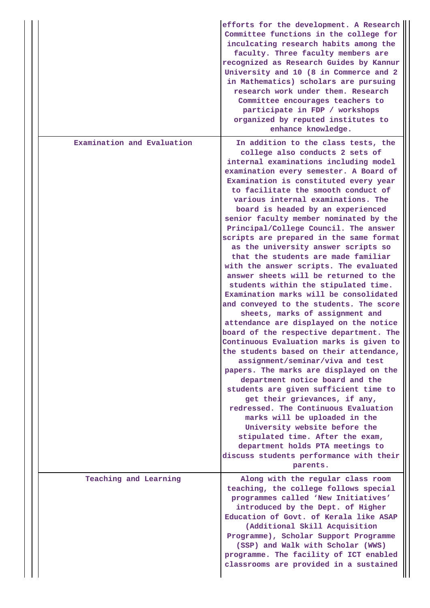|                            | efforts for the development. A Research<br>Committee functions in the college for<br>inculcating research habits among the<br>faculty. Three faculty members are<br>recognized as Research Guides by Kannur<br>University and 10 (8 in Commerce and 2<br>in Mathematics) scholars are pursuing<br>research work under them. Research<br>Committee encourages teachers to<br>participate in FDP / workshops<br>organized by reputed institutes to<br>enhance knowledge.                                                                                                                                                                                                                                                                                                                                                                                                                                                                                                                                                                                                                                                                                                                                                                                                                                                                                                                             |
|----------------------------|----------------------------------------------------------------------------------------------------------------------------------------------------------------------------------------------------------------------------------------------------------------------------------------------------------------------------------------------------------------------------------------------------------------------------------------------------------------------------------------------------------------------------------------------------------------------------------------------------------------------------------------------------------------------------------------------------------------------------------------------------------------------------------------------------------------------------------------------------------------------------------------------------------------------------------------------------------------------------------------------------------------------------------------------------------------------------------------------------------------------------------------------------------------------------------------------------------------------------------------------------------------------------------------------------------------------------------------------------------------------------------------------------|
| Examination and Evaluation | In addition to the class tests, the<br>college also conducts 2 sets of<br>internal examinations including model<br>examination every semester. A Board of<br>Examination is constituted every year<br>to facilitate the smooth conduct of<br>various internal examinations. The<br>board is headed by an experienced<br>senior faculty member nominated by the<br>Principal/College Council. The answer<br>scripts are prepared in the same format<br>as the university answer scripts so<br>that the students are made familiar<br>with the answer scripts. The evaluated<br>answer sheets will be returned to the<br>students within the stipulated time.<br>Examination marks will be consolidated<br>and conveyed to the students. The score<br>sheets, marks of assignment and<br>attendance are displayed on the notice<br>board of the respective department. The<br>Continuous Evaluation marks is given to<br>the students based on their attendance,<br>assignment/seminar/viva and test<br>papers. The marks are displayed on the<br>department notice board and the<br>students are given sufficient time to<br>get their grievances, if any,<br>redressed. The Continuous Evaluation<br>marks will be uploaded in the<br>University website before the<br>stipulated time. After the exam,<br>department holds PTA meetings to<br>discuss students performance with their<br>parents. |
| Teaching and Learning      | Along with the regular class room<br>teaching, the college follows special<br>programmes called 'New Initiatives'<br>introduced by the Dept. of Higher<br>Education of Govt. of Kerala like ASAP<br>(Additional Skill Acquisition<br>Programme), Scholar Support Programme<br>(SSP) and Walk with Scholar (WWS)<br>programme. The facility of ICT enabled<br>classrooms are provided in a sustained                                                                                                                                                                                                                                                                                                                                                                                                                                                                                                                                                                                                                                                                                                                                                                                                                                                                                                                                                                                                |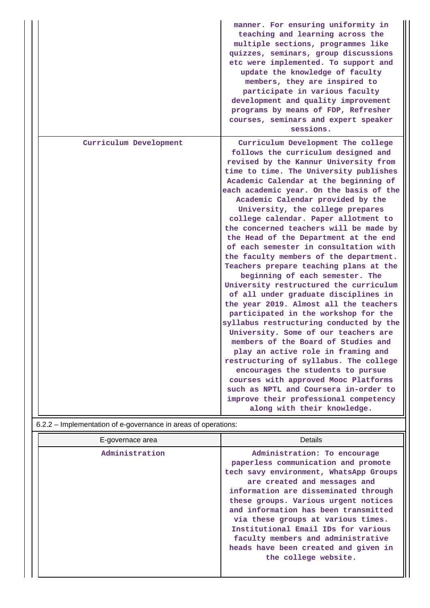|                                                                | manner. For ensuring uniformity in<br>teaching and learning across the<br>multiple sections, programmes like<br>quizzes, seminars, group discussions<br>etc were implemented. To support and<br>update the knowledge of faculty<br>members, they are inspired to<br>participate in various faculty<br>development and quality improvement<br>programs by means of FDP, Refresher<br>courses, seminars and expert speaker<br>sessions.                                                                                                                                                                                                                                                                                                                                                                                                                                                                                                                                                                                                                                           |
|----------------------------------------------------------------|---------------------------------------------------------------------------------------------------------------------------------------------------------------------------------------------------------------------------------------------------------------------------------------------------------------------------------------------------------------------------------------------------------------------------------------------------------------------------------------------------------------------------------------------------------------------------------------------------------------------------------------------------------------------------------------------------------------------------------------------------------------------------------------------------------------------------------------------------------------------------------------------------------------------------------------------------------------------------------------------------------------------------------------------------------------------------------|
| Curriculum Development                                         | Curriculum Development The college<br>follows the curriculum designed and<br>revised by the Kannur University from<br>time to time. The University publishes<br>Academic Calendar at the beginning of<br>each academic year. On the basis of the<br>Academic Calendar provided by the<br>University, the college prepares<br>college calendar. Paper allotment to<br>the concerned teachers will be made by<br>the Head of the Department at the end<br>of each semester in consultation with<br>the faculty members of the department.<br>Teachers prepare teaching plans at the<br>beginning of each semester. The<br>University restructured the curriculum<br>of all under graduate disciplines in<br>the year 2019. Almost all the teachers<br>participated in the workshop for the<br>syllabus restructuring conducted by the<br>University. Some of our teachers are<br>members of the Board of Studies and<br>play an active role in framing and<br>restructuring of syllabus. The college<br>encourages the students to pursue<br>courses with approved Mooc Platforms |
| 6.2.2 – Implementation of e-governance in areas of operations: | such as NPTL and Coursera in-order to<br>improve their professional competency<br>along with their knowledge.                                                                                                                                                                                                                                                                                                                                                                                                                                                                                                                                                                                                                                                                                                                                                                                                                                                                                                                                                                   |

| E-governace area | Details                                                                                                                                                                                                                                                                                                                                                                                                                                                  |
|------------------|----------------------------------------------------------------------------------------------------------------------------------------------------------------------------------------------------------------------------------------------------------------------------------------------------------------------------------------------------------------------------------------------------------------------------------------------------------|
| Administration   | Administration: To encourage<br>paperless communication and promote<br>tech savy environment, WhatsApp Groups<br>are created and messages and<br>information are disseminated through<br>these groups. Various urgent notices<br>and information has been transmitted<br>via these groups at various times.<br>Institutional Email IDs for various<br>faculty members and administrative<br>heads have been created and given in<br>the college website. |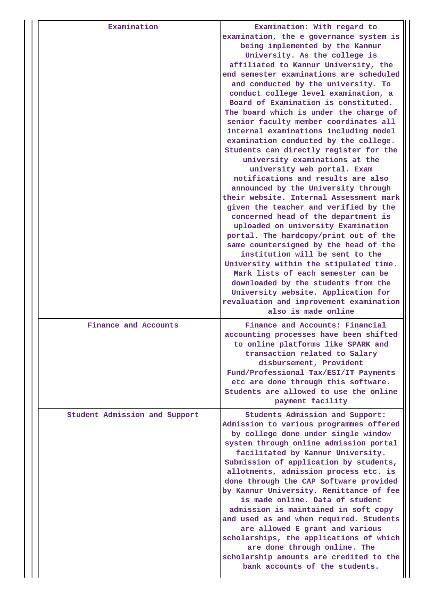| Examination                   | Examination: With regard to<br>examination, the e governance system is<br>being implemented by the Kannur<br>University. As the college is<br>affiliated to Kannur University, the<br>end semester examinations are scheduled<br>and conducted by the university. To<br>conduct college level examination, a<br>Board of Examination is constituted.<br>The board which is under the charge of<br>senior faculty member coordinates all<br>internal examinations including model<br>examination conducted by the college.<br>Students can directly register for the<br>university examinations at the<br>university web portal. Exam<br>notifications and results are also<br>announced by the University through<br>their website. Internal Assessment mark<br>given the teacher and verified by the<br>concerned head of the department is<br>uploaded on university Examination<br>portal. The hardcopy/print out of the<br>same countersigned by the head of the<br>institution will be sent to the<br>University within the stipulated time.<br>Mark lists of each semester can be<br>downloaded by the students from the<br>University website. Application for<br>revaluation and improvement examination<br>also is made online |
|-------------------------------|-----------------------------------------------------------------------------------------------------------------------------------------------------------------------------------------------------------------------------------------------------------------------------------------------------------------------------------------------------------------------------------------------------------------------------------------------------------------------------------------------------------------------------------------------------------------------------------------------------------------------------------------------------------------------------------------------------------------------------------------------------------------------------------------------------------------------------------------------------------------------------------------------------------------------------------------------------------------------------------------------------------------------------------------------------------------------------------------------------------------------------------------------------------------------------------------------------------------------------------------|
| Finance and Accounts          | Finance and Accounts: Financial<br>accounting processes have been shifted<br>to online platforms like SPARK and<br>transaction related to Salary<br>disbursement, Provident<br>Fund/Professional Tax/ESI/IT Payments<br>etc are done through this software.<br>Students are allowed to use the online<br>payment facility                                                                                                                                                                                                                                                                                                                                                                                                                                                                                                                                                                                                                                                                                                                                                                                                                                                                                                               |
| Student Admission and Support | Students Admission and Support:<br>Admission to various programmes offered<br>by college done under single window<br>system through online admission portal<br>facilitated by Kannur University.<br>Submission of application by students,<br>allotments, admission process etc. is<br>done through the CAP Software provided<br>by Kannur University. Remittance of fee<br>is made online. Data of student<br>admission is maintained in soft copy<br>and used as and when required. Students<br>are allowed E grant and various<br>scholarships, the applications of which<br>are done through online. The<br>scholarship amounts are credited to the<br>bank accounts of the students.                                                                                                                                                                                                                                                                                                                                                                                                                                                                                                                                               |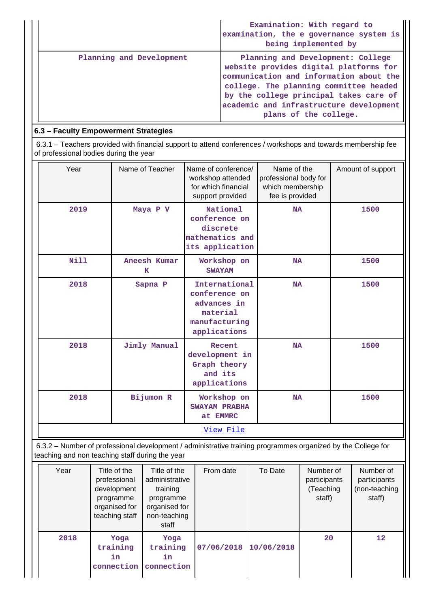|                          | Examination: With regard to<br>examination, the e governance system is<br>being implemented by                                                                                                                                                                                 |
|--------------------------|--------------------------------------------------------------------------------------------------------------------------------------------------------------------------------------------------------------------------------------------------------------------------------|
| Planning and Development | Planning and Development: College<br>website provides digital platforms for<br>communication and information about the<br>college. The planning committee headed<br>by the college principal takes care of<br>academic and infrastructure development<br>plans of the college. |

# **6.3 – Faculty Empowerment Strategies**

 6.3.1 – Teachers provided with financial support to attend conferences / workshops and towards membership fee of professional bodies during the year

| Year | Name of Teacher   | Name of conference/<br>workshop attended<br>for which financial<br>support provided        | Name of the<br>professional body for<br>which membership<br>fee is provided | Amount of support |
|------|-------------------|--------------------------------------------------------------------------------------------|-----------------------------------------------------------------------------|-------------------|
| 2019 | Maya P V          | National<br>conference on<br>discrete<br>mathematics and<br>its application                | <b>NA</b>                                                                   | 1500              |
| Nill | Aneesh Kumar<br>K | Workshop on<br><b>SWAYAM</b>                                                               | <b>NA</b>                                                                   | 1500              |
| 2018 | Sapna P           | International<br>conference on<br>advances in<br>material<br>manufacturing<br>applications | <b>NA</b>                                                                   | 1500              |
| 2018 | Jimly Manual      | Recent<br>development in<br>Graph theory<br>and its<br>applications                        | <b>NA</b>                                                                   | 1500              |
| 2018 | Bijumon R         | Workshop on<br><b>SWAYAM PRABHA</b><br>at EMMRC                                            | <b>NA</b>                                                                   | 1500              |
|      |                   | <u>View File</u>                                                                           |                                                                             |                   |

 6.3.2 – Number of professional development / administrative training programmes organized by the College for teaching and non teaching staff during the year

| Year | Title of the<br>professional<br>development<br>programme<br>organised for<br>teaching staff | Title of the<br>administrative<br>training<br>programme<br>organised for<br>non-teaching<br>staff | From date  | To Date    | Number of<br>participants<br>(Teaching<br>staff) | Number of<br>participants<br>(non-teaching<br>staff) |
|------|---------------------------------------------------------------------------------------------|---------------------------------------------------------------------------------------------------|------------|------------|--------------------------------------------------|------------------------------------------------------|
| 2018 | Yoga<br>training<br>in<br>connection                                                        | Yoga<br>training<br>in<br>connection                                                              | 07/06/2018 | 10/06/2018 | 20                                               | $12 \overline{ }$                                    |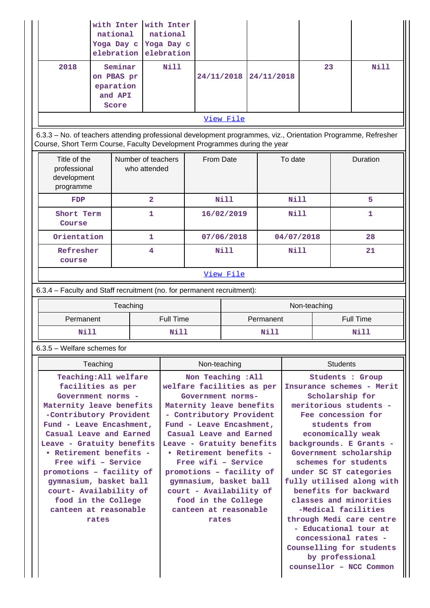|                                                                                                                                                                                            | with Inter  <br>national<br>Yoga Day c<br>elebration             |                         | with Inter<br>national<br>Yoga Day c<br>elebration |                                                                     |             |           |                                                                         |  |      |                  |
|--------------------------------------------------------------------------------------------------------------------------------------------------------------------------------------------|------------------------------------------------------------------|-------------------------|----------------------------------------------------|---------------------------------------------------------------------|-------------|-----------|-------------------------------------------------------------------------|--|------|------------------|
| 2018                                                                                                                                                                                       | Seminar<br>on PBAS pr<br>eparation<br>and API<br>Score           |                         | <b>Nill</b>                                        | 24/11/2018                                                          | 24/11/2018  |           | 23                                                                      |  | Nill |                  |
|                                                                                                                                                                                            |                                                                  |                         |                                                    |                                                                     | View File   |           |                                                                         |  |      |                  |
| 6.3.3 - No. of teachers attending professional development programmes, viz., Orientation Programme, Refresher<br>Course, Short Term Course, Faculty Development Programmes during the year |                                                                  |                         |                                                    |                                                                     |             |           |                                                                         |  |      |                  |
|                                                                                                                                                                                            | Title of the<br>professional<br>development<br>programme         |                         | Number of teachers<br>who attended                 |                                                                     | From Date   |           | To date                                                                 |  |      | Duration         |
| FDP                                                                                                                                                                                        |                                                                  | $\overline{\mathbf{2}}$ |                                                    |                                                                     | Nill        |           | Nill                                                                    |  |      | 5                |
| Short Term<br>Course                                                                                                                                                                       |                                                                  | 1                       |                                                    |                                                                     | 16/02/2019  |           | Nill                                                                    |  |      | 1                |
| Orientation                                                                                                                                                                                |                                                                  | 1                       |                                                    |                                                                     | 07/06/2018  |           | 04/07/2018                                                              |  |      | 28               |
| Refresher<br>course                                                                                                                                                                        |                                                                  | 4                       |                                                    |                                                                     | <b>Nill</b> |           | Nill                                                                    |  |      | 21               |
|                                                                                                                                                                                            |                                                                  |                         |                                                    |                                                                     | View File   |           |                                                                         |  |      |                  |
| 6.3.4 - Faculty and Staff recruitment (no. for permanent recruitment):                                                                                                                     |                                                                  |                         |                                                    |                                                                     |             |           |                                                                         |  |      |                  |
|                                                                                                                                                                                            |                                                                  | Teaching                |                                                    |                                                                     |             |           | Non-teaching                                                            |  |      |                  |
| Permanent                                                                                                                                                                                  |                                                                  |                         | <b>Full Time</b>                                   |                                                                     |             | Permanent |                                                                         |  |      | <b>Full Time</b> |
| <b>Nill</b>                                                                                                                                                                                |                                                                  |                         | Nill                                               |                                                                     |             | Nill      |                                                                         |  |      | Nill             |
| $6.3.5$ – Welfare schemes for                                                                                                                                                              |                                                                  |                         |                                                    |                                                                     |             |           |                                                                         |  |      |                  |
|                                                                                                                                                                                            | Teaching                                                         |                         |                                                    | Non-teaching                                                        |             |           | <b>Students</b>                                                         |  |      |                  |
|                                                                                                                                                                                            | Teaching: All welfare<br>facilities as per<br>$Conformant$ norme |                         |                                                    | Non Teaching : All<br>welfare facilities as per<br>Covernment norme |             |           | <b>Students : Group</b><br>Insurance schemes - Merit<br>Scholarchin for |  |      |                  |

Government norms **Maternity leave benefits -Contributory Provident Fund - Leave Encashment, Casual Leave and Earned Leave - Gratuity benefits • Retirement benefits - Free wifi – Service promotions – facility of gymnasium, basket ball court- Availability of food in the College canteen at reasonable rates**

**Government norms-Maternity leave benefits - Contributory Provident Fund - Leave Encashment, Casual Leave and Earned Leave - Gratuity benefits • Retirement benefits - Free wifi – Service promotions – facility of gymnasium, basket ball court - Availability of food in the College canteen at reasonable rates**

**Scholarship for meritorious students - Fee concession for students from economically weak backgrounds. E Grants - Government scholarship schemes for students under SC ST categories fully utilised along with benefits for backward classes and minorities -Medical facilities through Medi care centre - Educational tour at concessional rates - Counselling for students by professional counsellor – NCC Common**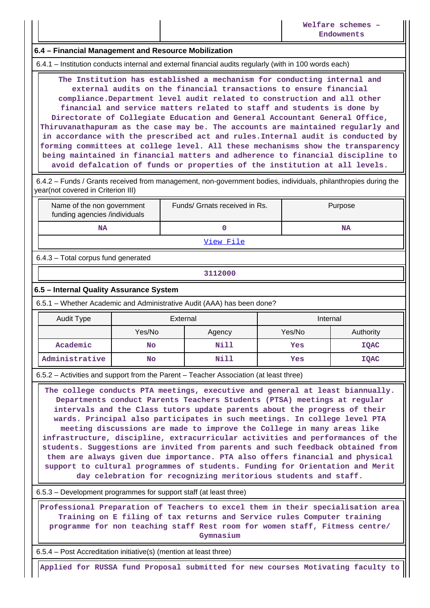### **6.4 – Financial Management and Resource Mobilization**

6.4.1 – Institution conducts internal and external financial audits regularly (with in 100 words each)

 **The Institution has established a mechanism for conducting internal and external audits on the financial transactions to ensure financial compliance.Department level audit related to construction and all other financial and service matters related to staff and students is done by Directorate of Collegiate Education and General Accountant General Office, Thiruvanathapuram as the case may be. The accounts are maintained regularly and in accordance with the prescribed act and rules.Internal audit is conducted by forming committees at college level. All these mechanisms show the transparency being maintained in financial matters and adherence to financial discipline to avoid defalcation of funds or properties of the institution at all levels.**

 6.4.2 – Funds / Grants received from management, non-government bodies, individuals, philanthropies during the year(not covered in Criterion III)

| Name of the non government<br>funding agencies /individuals | Funds/ Grnats received in Rs. | Purpose |
|-------------------------------------------------------------|-------------------------------|---------|
| <b>NA</b>                                                   |                               | NA      |
|                                                             | View File                     |         |

6.4.3 – Total corpus fund generated

**3112000**

#### **6.5 – Internal Quality Assurance System**

6.5.1 – Whether Academic and Administrative Audit (AAA) has been done?

| Audit Type     |           | External |     | Internal    |
|----------------|-----------|----------|-----|-------------|
|                | Yes/No    | Agency   |     | Authority   |
| Academic       | No        | Nill     | Yes | <b>IQAC</b> |
| Administrative | <b>No</b> | Nill     | Yes | <b>IQAC</b> |

6.5.2 – Activities and support from the Parent – Teacher Association (at least three)

 **The college conducts PTA meetings, executive and general at least biannually. Departments conduct Parents Teachers Students (PTSA) meetings at regular intervals and the Class tutors update parents about the progress of their wards. Principal also participates in such meetings. In college level PTA meeting discussions are made to improve the College in many areas like infrastructure, discipline, extracurricular activities and performances of the students. Suggestions are invited from parents and such feedback obtained from them are always given due importance. PTA also offers financial and physical support to cultural programmes of students. Funding for Orientation and Merit day celebration for recognizing meritorious students and staff.**

6.5.3 – Development programmes for support staff (at least three)

 **Professional Preparation of Teachers to excel them in their specialisation area Training on E filing of tax returns and Service rules Computer training programme for non teaching staff Rest room for women staff, Fitmess centre/ Gymnasium**

6.5.4 – Post Accreditation initiative(s) (mention at least three)

**Applied for RUSSA fund Proposal submitted for new courses Motivating faculty to**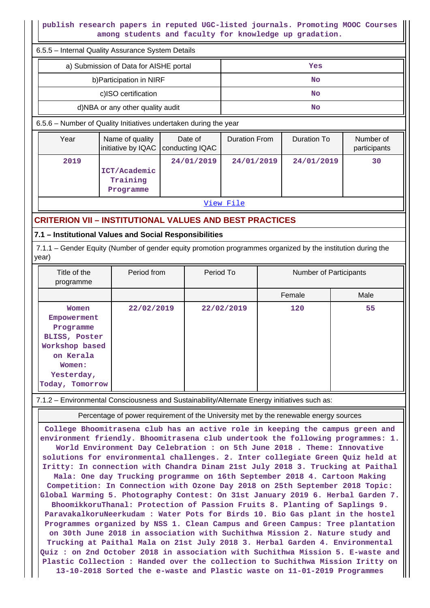# **publish research papers in reputed UGC-listed journals. Promoting MOOC Courses among students and faculty for knowledge up gradation.**

| 6.5.5 - Internal Quality Assurance System Details                                                                                                                     |                                        |  |                            |                      |     |                        |  |                           |  |
|-----------------------------------------------------------------------------------------------------------------------------------------------------------------------|----------------------------------------|--|----------------------------|----------------------|-----|------------------------|--|---------------------------|--|
|                                                                                                                                                                       | a) Submission of Data for AISHE portal |  |                            |                      | Yes |                        |  |                           |  |
|                                                                                                                                                                       | b) Participation in NIRF               |  |                            | <b>No</b>            |     |                        |  |                           |  |
|                                                                                                                                                                       | c)ISO certification                    |  |                            | <b>No</b>            |     |                        |  |                           |  |
|                                                                                                                                                                       | d)NBA or any other quality audit       |  |                            |                      |     | <b>No</b>              |  |                           |  |
| 6.5.6 - Number of Quality Initiatives undertaken during the year                                                                                                      |                                        |  |                            |                      |     |                        |  |                           |  |
| Year                                                                                                                                                                  | Name of quality<br>initiative by IQAC  |  | Date of<br>conducting IQAC | <b>Duration From</b> |     | <b>Duration To</b>     |  | Number of<br>participants |  |
| 2019<br>24/01/2019<br>24/01/2019<br>24/01/2019<br>30<br>ICT/Academic<br>Training<br>Programme                                                                         |                                        |  |                            |                      |     |                        |  |                           |  |
|                                                                                                                                                                       |                                        |  |                            | View File            |     |                        |  |                           |  |
| <b>CRITERION VII - INSTITUTIONAL VALUES AND BEST PRACTICES</b>                                                                                                        |                                        |  |                            |                      |     |                        |  |                           |  |
| 7.1 - Institutional Values and Social Responsibilities                                                                                                                |                                        |  |                            |                      |     |                        |  |                           |  |
| 7.1.1 - Gender Equity (Number of gender equity promotion programmes organized by the institution during the<br>year)                                                  |                                        |  |                            |                      |     |                        |  |                           |  |
| Title of the<br>programme                                                                                                                                             | Period from                            |  | Period To                  |                      |     | Number of Participants |  |                           |  |
|                                                                                                                                                                       |                                        |  |                            |                      |     | Female                 |  | Male                      |  |
| 22/02/2019<br>22/02/2019<br>120<br>55<br>Women<br>Empowerment<br>Programme<br>BLISS, Poster<br>Workshop based<br>on Kerala<br>Women:<br>Yesterday,<br>Today, Tomorrow |                                        |  |                            |                      |     |                        |  |                           |  |
| 7.1.2 - Environmental Consciousness and Sustainability/Alternate Energy initiatives such as:                                                                          |                                        |  |                            |                      |     |                        |  |                           |  |

Percentage of power requirement of the University met by the renewable energy sources

**College Bhoomitrasena club has an active role in keeping the campus green and environment friendly. Bhoomitrasena club undertook the following programmes: 1. World Environment Day Celebration : on 5th June 2018 . Theme: Innovative solutions for environmental challenges. 2. Inter collegiate Green Quiz held at Iritty: In connection with Chandra Dinam 21st July 2018 3. Trucking at Paithal Mala: One day Trucking programme on 16th September 2018 4. Cartoon Making Competition: In Connection with Ozone Day 2018 on 25th September 2018 Topic: Global Warming 5. Photography Contest: On 31st January 2019 6. Herbal Garden 7. BhoomikkoruThanal: Protection of Passion Fruits 8. Planting of Saplings 9. ParavakalkoruNeerkudam : Water Pots for Birds 10. Bio Gas plant in the hostel Programmes organized by NSS 1. Clean Campus and Green Campus: Tree plantation on 30th June 2018 in association with Suchithwa Mission 2. Nature study and Trucking at Paithal Mala on 21st July 2018 3. Herbal Garden 4. Environmental Quiz : on 2nd October 2018 in association with Suchithwa Mission 5. E-waste and Plastic Collection : Handed over the collection to Suchithwa Mission Iritty on 13-10-2018 Sorted the e-waste and Plastic waste on 11-01-2019 Programmes**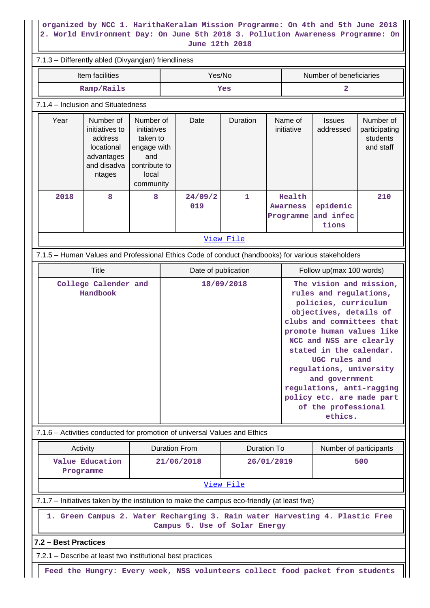### **organized by NCC 1. HarithaKeralam Mission Programme: On 4th and 5th June 2018 2. World Environment Day: On June 5th 2018 3. Pollution Awareness Programme: On June 12th 2018**

|                                  |                                                                                                                                                                                                                    |  |                     | June 12th 2018                                                            |                                  |                                        |                                                                                                                                                                                                                                                                                                                                                    |                                |                                                     |
|----------------------------------|--------------------------------------------------------------------------------------------------------------------------------------------------------------------------------------------------------------------|--|---------------------|---------------------------------------------------------------------------|----------------------------------|----------------------------------------|----------------------------------------------------------------------------------------------------------------------------------------------------------------------------------------------------------------------------------------------------------------------------------------------------------------------------------------------------|--------------------------------|-----------------------------------------------------|
|                                  | 7.1.3 - Differently abled (Divyangjan) friendliness                                                                                                                                                                |  |                     |                                                                           |                                  |                                        |                                                                                                                                                                                                                                                                                                                                                    |                                |                                                     |
|                                  | Item facilities                                                                                                                                                                                                    |  | Yes/No              |                                                                           |                                  |                                        | Number of beneficiaries                                                                                                                                                                                                                                                                                                                            |                                |                                                     |
|                                  | Ramp/Rails                                                                                                                                                                                                         |  |                     |                                                                           | Yes                              |                                        |                                                                                                                                                                                                                                                                                                                                                    | 2                              |                                                     |
|                                  | 7.1.4 - Inclusion and Situatedness                                                                                                                                                                                 |  |                     |                                                                           |                                  |                                        |                                                                                                                                                                                                                                                                                                                                                    |                                |                                                     |
| Year                             | Number of<br>Number of<br>initiatives to<br>initiatives<br>address<br>taken to<br>locational<br>engage with<br>advantages<br>and<br>and disadva<br>contribute to<br>local<br>ntages<br>community<br>2018<br>8<br>8 |  |                     | Date                                                                      | Duration                         |                                        | Name of<br>initiative                                                                                                                                                                                                                                                                                                                              | <b>Issues</b><br>addressed     | Number of<br>participating<br>students<br>and staff |
|                                  |                                                                                                                                                                                                                    |  |                     | 24/09/2<br>019                                                            | 1                                | Health<br><b>Awarness</b><br>Programme |                                                                                                                                                                                                                                                                                                                                                    | epidemic<br>and infec<br>tions | 210                                                 |
|                                  |                                                                                                                                                                                                                    |  |                     |                                                                           | View File                        |                                        |                                                                                                                                                                                                                                                                                                                                                    |                                |                                                     |
|                                  | 7.1.5 - Human Values and Professional Ethics Code of conduct (handbooks) for various stakeholders                                                                                                                  |  |                     |                                                                           |                                  |                                        |                                                                                                                                                                                                                                                                                                                                                    |                                |                                                     |
|                                  | <b>Title</b>                                                                                                                                                                                                       |  | Date of publication |                                                                           |                                  | Follow up(max 100 words)               |                                                                                                                                                                                                                                                                                                                                                    |                                |                                                     |
| College Calender and<br>Handbook |                                                                                                                                                                                                                    |  |                     | 7.1.6 – Activities conducted for promotion of universal Values and Ethics | 18/09/2018                       |                                        | rules and regulations,<br>policies, curriculum<br>objectives, details of<br>clubs and committees that<br>promote human values like<br>NCC and NSS are clearly<br>stated in the calendar.<br>UGC rules and<br>regulations, university<br>and government<br>regulations, anti-ragging<br>policy etc. are made part<br>of the professional<br>ethics. |                                |                                                     |
|                                  |                                                                                                                                                                                                                    |  |                     |                                                                           |                                  |                                        |                                                                                                                                                                                                                                                                                                                                                    |                                |                                                     |
|                                  | Activity<br>Value Education<br>Programme                                                                                                                                                                           |  |                     | <b>Duration From</b><br>21/06/2018                                        | <b>Duration To</b><br>26/01/2019 |                                        |                                                                                                                                                                                                                                                                                                                                                    | Number of participants         | 500                                                 |
|                                  |                                                                                                                                                                                                                    |  |                     |                                                                           | View File                        |                                        |                                                                                                                                                                                                                                                                                                                                                    |                                |                                                     |
|                                  | 7.1.7 – Initiatives taken by the institution to make the campus eco-friendly (at least five)                                                                                                                       |  |                     |                                                                           |                                  |                                        |                                                                                                                                                                                                                                                                                                                                                    |                                |                                                     |
|                                  | 1. Green Campus 2. Water Recharging 3. Rain water Harvesting 4. Plastic Free                                                                                                                                       |  |                     | Campus 5. Use of Solar Energy                                             |                                  |                                        |                                                                                                                                                                                                                                                                                                                                                    |                                |                                                     |
| 7.2 - Best Practices             | 7.2.1 – Describe at least two institutional best practices                                                                                                                                                         |  |                     |                                                                           |                                  |                                        |                                                                                                                                                                                                                                                                                                                                                    |                                |                                                     |
|                                  |                                                                                                                                                                                                                    |  |                     |                                                                           |                                  |                                        |                                                                                                                                                                                                                                                                                                                                                    |                                |                                                     |
|                                  | Feed the Hungry: Every week, NSS volunteers collect food packet from students                                                                                                                                      |  |                     |                                                                           |                                  |                                        |                                                                                                                                                                                                                                                                                                                                                    |                                |                                                     |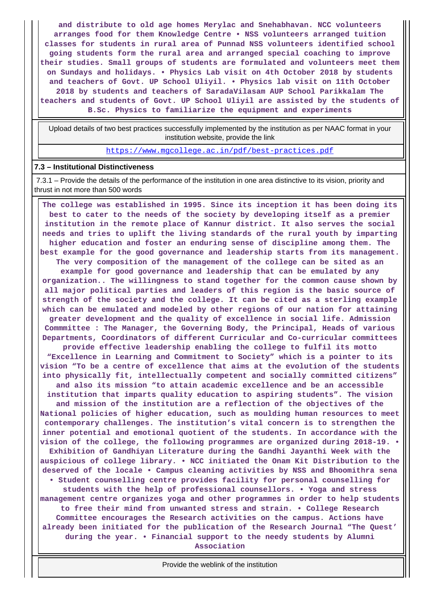**and distribute to old age homes Merylac and Snehabhavan. NCC volunteers arranges food for them Knowledge Centre • NSS volunteers arranged tuition classes for students in rural area of Punnad NSS volunteers identified school going students form the rural area and arranged special coaching to improve their studies. Small groups of students are formulated and volunteers meet them on Sundays and holidays. • Physics Lab visit on 4th October 2018 by students and teachers of Govt. UP School Uliyil. • Physics lab visit on 11th October 2018 by students and teachers of SaradaVilasam AUP School Parikkalam The teachers and students of Govt. UP School Uliyil are assisted by the students of B.Sc. Physics to familiarize the equipment and experiments**

 Upload details of two best practices successfully implemented by the institution as per NAAC format in your institution website, provide the link

<https://www.mgcollege.ac.in/pdf/best-practices.pdf>

#### **7.3 – Institutional Distinctiveness**

 7.3.1 – Provide the details of the performance of the institution in one area distinctive to its vision, priority and thrust in not more than 500 words

 **The college was established in 1995. Since its inception it has been doing its best to cater to the needs of the society by developing itself as a premier institution in the remote place of Kannur district. It also serves the social needs and tries to uplift the living standards of the rural youth by imparting higher education and foster an enduring sense of discipline among them. The best example for the good governance and leadership starts from its management. The very composition of the management of the college can be sited as an example for good governance and leadership that can be emulated by any organization.. The willingness to stand together for the common cause shown by all major political parties and leaders of this region is the basic source of strength of the society and the college. It can be cited as a sterling example which can be emulated and modeled by other regions of our nation for attaining greater development and the quality of excellence in social life. Admission Commmittee : The Manager, the Governing Body, the Principal, Heads of various Departments, Coordinators of different Curricular and Co-curricular committees provide effective leadership enabling the college to fulfil its motto "Excellence in Learning and Commitment to Society" which is a pointer to its vision "To be a centre of excellence that aims at the evolution of the students into physically fit, intellectually competent and socially committed citizens" and also its mission "to attain academic excellence and be an accessible institution that imparts quality education to aspiring students". The vision and mission of the institution are a reflection of the objectives of the National policies of higher education, such as moulding human resources to meet contemporary challenges. The institution's vital concern is to strengthen the inner potential and emotional quotient of the students. In accordance with the vision of the college, the following programmes are organized during 2018-19. • Exhibition of Gandhiyan Literature during the Gandhi Jayanthi Week with the auspicious of college library. • NCC initiated the Onam Kit Distribution to the deserved of the locale • Campus cleaning activities by NSS and Bhoomithra sena • Student counselling centre provides facility for personal counselling for students with the help of professional counsellors. • Yoga and stress management centre organizes yoga and other programmes in order to help students to free their mind from unwanted stress and strain. • College Research Committee encourages the Research activities on the campus. Actions have already been initiated for the publication of the Research Journal "The Quest' during the year. • Financial support to the needy students by Alumni Association**

Provide the weblink of the institution